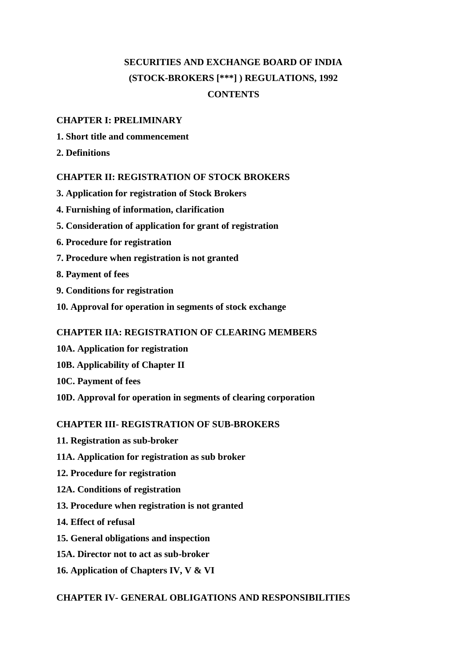# **SECURITIES AND EXCHANGE BOARD OF INDIA (STOCK-BROKERS [\*\*\*] ) REGULATIONS, 1992 CONTENTS**

## **CHAPTER I: PRELIMINARY**

- **1. Short title and commencement**
- **2. Definitions**

## **CHAPTER II: REGISTRATION OF STOCK BROKERS**

- **3. Application for registration of Stock Brokers**
- **4. Furnishing of information, clarification**
- **5. Consideration of application for grant of registration**
- **6. Procedure for registration**
- **7. Procedure when registration is not granted**
- **8. Payment of fees**
- **9. Conditions for registration**
- **10. Approval for operation in segments of stock exchange**

## **CHAPTER IIA: REGISTRATION OF CLEARING MEMBERS**

- **10A. Application for registration**
- **10B. Applicability of Chapter II**
- **10C. Payment of fees**
- **10D. Approval for operation in segments of clearing corporation**

## **CHAPTER III- REGISTRATION OF SUB-BROKERS**

- **11. Registration as sub-broker**
- **11A. Application for registration as sub broker**
- **12. Procedure for registration**
- **12A. Conditions of registration**
- **13. Procedure when registration is not granted**
- **14. Effect of refusal**
- **15. General obligations and inspection**
- **15A. Director not to act as sub-broker**
- **16. Application of Chapters IV, V & VI**

## **CHAPTER IV- GENERAL OBLIGATIONS AND RESPONSIBILITIES**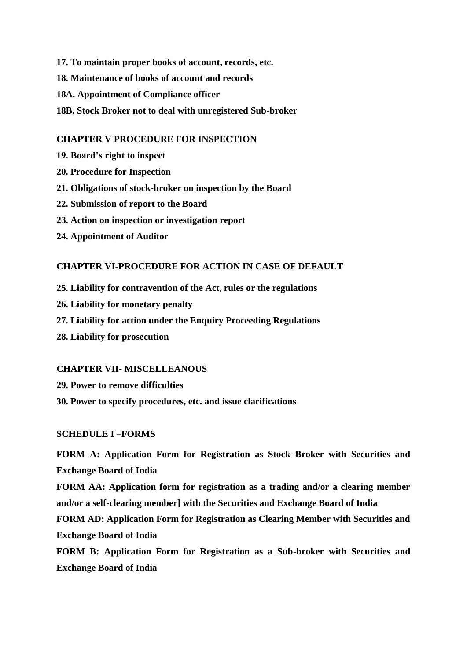- **17. To maintain proper books of account, records, etc.**
- **18. Maintenance of books of account and records**
- **18A. Appointment of Compliance officer**
- **18B. Stock Broker not to deal with unregistered Sub-broker**

### **CHAPTER V PROCEDURE FOR INSPECTION**

- **19. Board's right to inspect**
- **20. Procedure for Inspection**
- **21. Obligations of stock-broker on inspection by the Board**
- **22. Submission of report to the Board**
- **23. Action on inspection or investigation report**
- **24. Appointment of Auditor**

### **CHAPTER VI-PROCEDURE FOR ACTION IN CASE OF DEFAULT**

- **25. Liability for contravention of the Act, rules or the regulations**
- **26. Liability for monetary penalty**
- **27. Liability for action under the Enquiry Proceeding Regulations**
- **28. Liability for prosecution**

### **CHAPTER VII- MISCELLEANOUS**

- **29. Power to remove difficulties**
- **30. Power to specify procedures, etc. and issue clarifications**

## **SCHEDULE I –FORMS**

**FORM A: Application Form for Registration as Stock Broker with Securities and Exchange Board of India** 

**FORM AA: Application form for registration as a trading and/or a clearing member and/or a self-clearing member] with the Securities and Exchange Board of India**

**FORM AD: Application Form for Registration as Clearing Member with Securities and Exchange Board of India**

**FORM B: Application Form for Registration as a Sub-broker with Securities and Exchange Board of India**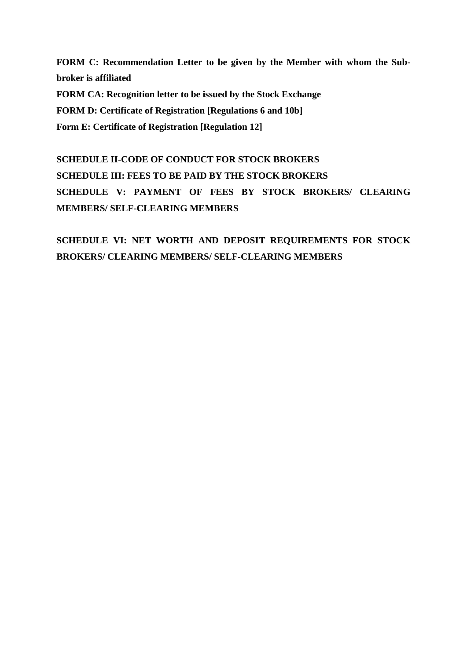**FORM C: Recommendation Letter to be given by the Member with whom the Subbroker is affiliated FORM CA: Recognition letter to be issued by the Stock Exchange FORM D: Certificate of Registration [Regulations 6 and 10b] Form E: Certificate of Registration [Regulation 12]**

**SCHEDULE II-CODE OF CONDUCT FOR STOCK BROKERS SCHEDULE III: FEES TO BE PAID BY THE STOCK BROKERS SCHEDULE V: PAYMENT OF FEES BY STOCK BROKERS/ CLEARING MEMBERS/ SELF-CLEARING MEMBERS** 

**SCHEDULE VI: NET WORTH AND DEPOSIT REQUIREMENTS FOR STOCK BROKERS/ CLEARING MEMBERS/ SELF-CLEARING MEMBERS**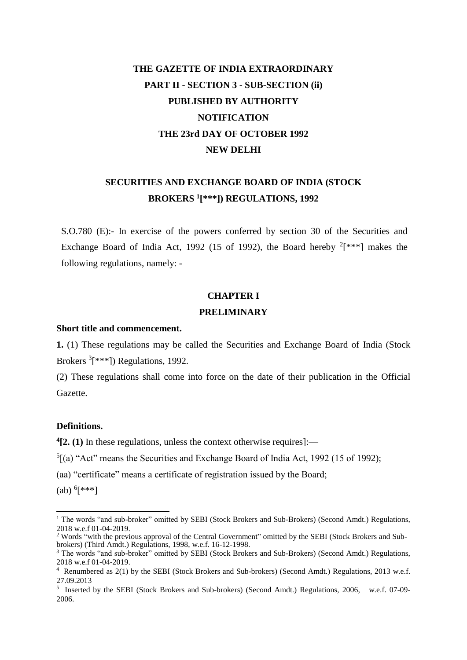# **THE GAZETTE OF INDIA EXTRAORDINARY PART II - SECTION 3 - SUB-SECTION (ii) PUBLISHED BY AUTHORITY NOTIFICATION THE 23rd DAY OF OCTOBER 1992 NEW DELHI**

## **SECURITIES AND EXCHANGE BOARD OF INDIA (STOCK BROKERS <sup>1</sup> [\*\*\*]) REGULATIONS, 1992**

S.O.780 (E):- In exercise of the powers conferred by section 30 of the Securities and Exchange Board of India Act, 1992 (15 of 1992), the Board hereby  $2[***]$  makes the following regulations, namely: -

### **CHAPTER I**

#### **PRELIMINARY**

### **Short title and commencement.**

**1.** (1) These regulations may be called the Securities and Exchange Board of India (Stock Brokers <sup>3</sup>[\*\*\*]) Regulations, 1992.

(2) These regulations shall come into force on the date of their publication in the Official Gazette.

## **Definitions.**

**4 [2. (1)** In these regulations, unless the context otherwise requires]:—

 ${}^5$ [(a) "Act" means the Securities and Exchange Board of India Act, 1992 (15 of 1992);

(aa) "certificate" means a certificate of registration issued by the Board;

 $(ab)$ <sup>6</sup>[\*\*\*]

-

<sup>2</sup> Words "with the previous approval of the Central Government" omitted by the SEBI (Stock Brokers and Subbrokers) (Third Amdt.) Regulations, 1998, w.e.f. 16-12-1998.

<sup>&</sup>lt;sup>1</sup> The words "and sub-broker" omitted by SEBI (Stock Brokers and Sub-Brokers) (Second Amdt.) Regulations, 2018 w.e.f 01-04-2019.

<sup>&</sup>lt;sup>3</sup> The words "and sub-broker" omitted by SEBI (Stock Brokers and Sub-Brokers) (Second Amdt.) Regulations, 2018 w.e.f 01-04-2019.

<sup>4</sup> Renumbered as 2(1) by the SEBI (Stock Brokers and Sub-brokers) (Second Amdt.) Regulations, 2013 w.e.f. 27.09.2013

<sup>&</sup>lt;sup>5</sup> Inserted by the SEBI (Stock Brokers and Sub-brokers) (Second Amdt.) Regulations, 2006, w.e.f. 07-09-2006.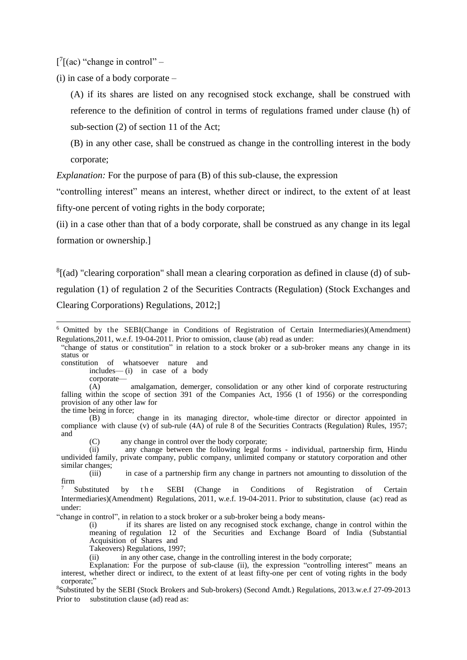$[^{7}[(ac)$  "change in control" –

(i) in case of a body corporate –

(A) if its shares are listed on any recognised stock exchange, shall be construed with reference to the definition of control in terms of regulations framed under clause (h) of sub-section (2) of section 11 of the Act;

(B) in any other case, shall be construed as change in the controlling interest in the body corporate;

*Explanation:* For the purpose of para (B) of this sub-clause, the expression

"controlling interest" means an interest, whether direct or indirect, to the extent of at least fifty-one percent of voting rights in the body corporate;

(ii) in a case other than that of a body corporate, shall be construed as any change in its legal formation or ownership.]

 ${}^{8}$ [(ad) "clearing corporation" shall mean a clearing corporation as defined in clause (d) of subregulation (1) of regulation 2 of the Securities Contracts (Regulation) (Stock Exchanges and Clearing Corporations) Regulations, 2012;]

"change of status or constitution" in relation to a stock broker or a sub-broker means any change in its status or

-

(C) any change in control over the body corporate;<br>(ii) any change between the following legal for

"change in control", in relation to a stock broker or a sub-broker being a body means-

(i) if its shares are listed on any recognised stock exchange, change in control within the meaning of regulation 12 of the Securities and Exchange Board of India (Substantial Acquisition of Shares and

Takeovers) Regulations, 1997;

(ii) in any other case, change in the controlling interest in the body corporate;

Explanation: For the purpose of sub-clause (ii), the expression "controlling interest" means an interest, whether direct or indirect, to the extent of at least fifty-one per cent of voting rights in the body corporate;'

<sup>6</sup> Omitted by the SEBI(Change in Conditions of Registration of Certain Intermediaries)(Amendment) Regulations,2011, w.e.f. 19-04-2011. Prior to omission, clause (ab) read as under:

constitution of whatsoever nature and includes— (i) in case of a body corporate—

<sup>(</sup>A) amalgamation, demerger, consolidation or any other kind of corporate restructuring falling within the scope of section 391 of the Companies Act, 1956 (1 of 1956) or the corresponding provision of any other law for the time being in force;

<sup>(</sup>B) change in its managing director, whole-time director or director appointed in compliance with clause (v) of sub-rule (4A) of rule 8 of the Securities Contracts (Regulation) Rules, 1957; and

any change between the following legal forms - individual, partnership firm, Hindu undivided family, private company, public company, unlimited company or statutory corporation and other similar changes;

<sup>(</sup>iii) in case of a partnership firm any change in partners not amounting to dissolution of the firm

<sup>&</sup>lt;sup>7</sup> Substituted by the SEBI (Change in Conditions of Registration of Certain Intermediaries)(Amendment) Regulations, 2011, w.e.f. 19-04-2011. Prior to substitution, clause (ac) read as under:

<sup>8</sup>Substituted by the SEBI (Stock Brokers and Sub-brokers) (Second Amdt.) Regulations, 2013.w.e.f 27-09-2013 Prior to substitution clause (ad) read as: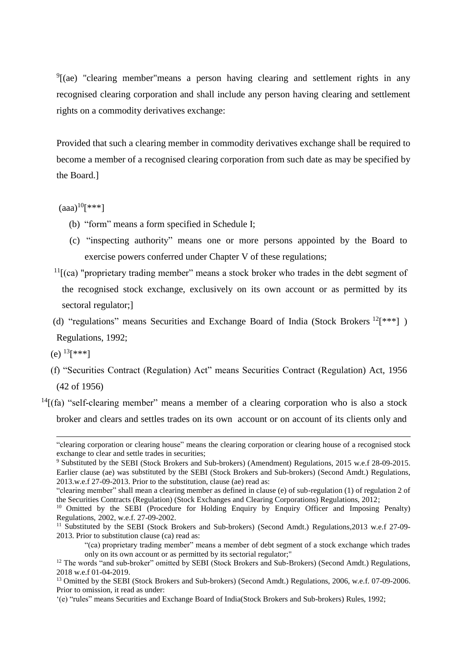<sup>9</sup>[(ae) "clearing member"means a person having clearing and settlement rights in any recognised clearing corporation and shall include any person having clearing and settlement rights on a commodity derivatives exchange:

Provided that such a clearing member in commodity derivatives exchange shall be required to become a member of a recognised clearing corporation from such date as may be specified by the Board.]

 $(aaa)^{10}$ [\*\*\*]

- (b) "form" means a form specified in Schedule I;
- (c) "inspecting authority" means one or more persons appointed by the Board to exercise powers conferred under Chapter V of these regulations;
- $11$ [(ca) "proprietary trading member" means a stock broker who trades in the debt segment of the recognised stock exchange, exclusively on its own account or as permitted by its sectoral regulator;]
- (d) "regulations" means Securities and Exchange Board of India (Stock Brokers <sup>12</sup><sup>[\*\*\*</sup>]) Regulations, 1992;
- (e)  $^{13}$ [\*\*\*]

1

- (f) "Securities Contract (Regulation) Act" means Securities Contract (Regulation) Act, 1956 (42 of 1956)
- $14$ [(fa) "self-clearing member" means a member of a clearing corporation who is also a stock broker and clears and settles trades on its own account or on account of its clients only and

<sup>&</sup>quot;clearing corporation or clearing house" means the clearing corporation or clearing house of a recognised stock exchange to clear and settle trades in securities;

<sup>9</sup> Substituted by the SEBI (Stock Brokers and Sub-brokers) (Amendment) Regulations, 2015 w.e.f 28-09-2015. Earlier clause (ae) was substituted by the SEBI (Stock Brokers and Sub-brokers) (Second Amdt.) Regulations, 2013.w.e.f 27-09-2013. Prior to the substitution, clause (ae) read as:

<sup>&</sup>quot;clearing member" shall mean a clearing member as defined in clause (e) of sub-regulation (1) of regulation 2 of the Securities Contracts (Regulation) (Stock Exchanges and Clearing Corporations) Regulations, 2012;

<sup>&</sup>lt;sup>10</sup> Omitted by the SEBI (Procedure for Holding Enquiry by Enquiry Officer and Imposing Penalty) Regulations, 2002, w.e.f. 27-09-2002.

<sup>&</sup>lt;sup>11</sup> Substituted by the SEBI (Stock Brokers and Sub-brokers) (Second Amdt.) Regulations, 2013 w.e.f 27-09-2013. Prior to substitution clause (ca) read as:

<sup>&</sup>quot;(ca) proprietary trading member" means a member of debt segment of a stock exchange which trades only on its own account or as permitted by its sectorial regulator;"

<sup>&</sup>lt;sup>12</sup> The words "and sub-broker" omitted by SEBI (Stock Brokers and Sub-Brokers) (Second Amdt.) Regulations, 2018 w.e.f 01-04-2019.

<sup>&</sup>lt;sup>13</sup> Omitted by the SEBI (Stock Brokers and Sub-brokers) (Second Amdt.) Regulations, 2006, w.e.f. 07-09-2006. Prior to omission, it read as under:

<sup>&#</sup>x27;(e) "rules" means Securities and Exchange Board of India(Stock Brokers and Sub-brokers) Rules, 1992;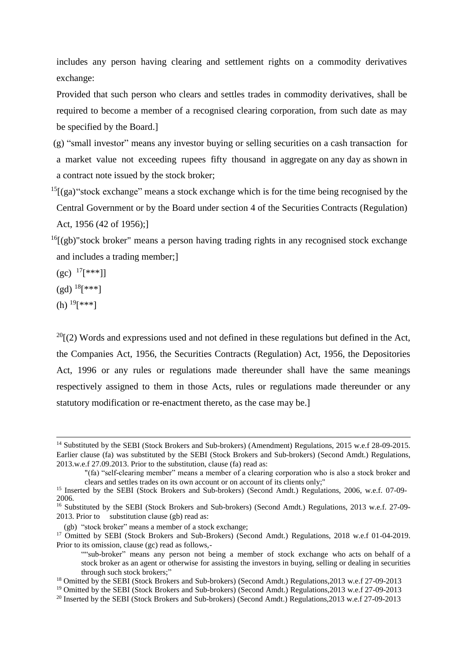includes any person having clearing and settlement rights on a commodity derivatives exchange:

Provided that such person who clears and settles trades in commodity derivatives, shall be required to become a member of a recognised clearing corporation, from such date as may be specified by the Board.]

- (g) "small investor" means any investor buying or selling securities on a cash transaction for a market value not exceeding rupees fifty thousand in aggregate on any day as shown in a contract note issued by the stock broker;
- $15$ [(ga) "stock exchange" means a stock exchange which is for the time being recognised by the Central Government or by the Board under section 4 of the Securities Contracts (Regulation) Act, 1956 (42 of 1956);]
- $^{16}$ [(gb)"stock broker" means a person having trading rights in any recognised stock exchange and includes a trading member;]
- $(gc)$  <sup>17</sup>[\*\*\*]]
- $(gd)^{18}$ [\*\*\*]
- (h)  $19$ [\*\*\*]

-

 $^{20}$ [(2) Words and expressions used and not defined in these regulations but defined in the Act, the Companies Act, 1956, the Securities Contracts (Regulation) Act, 1956, the Depositories Act, 1996 or any rules or regulations made thereunder shall have the same meanings respectively assigned to them in those Acts, rules or regulations made thereunder or any statutory modification or re-enactment thereto, as the case may be.]

<sup>&</sup>lt;sup>14</sup> Substituted by the SEBI (Stock Brokers and Sub-brokers) (Amendment) Regulations, 2015 w.e.f 28-09-2015. Earlier clause (fa) was substituted by the SEBI (Stock Brokers and Sub-brokers) (Second Amdt.) Regulations, 2013.w.e.f 27.09.2013. Prior to the substitution, clause (fa) read as:

<sup>&</sup>quot;(fa) "self-clearing member" means a member of a clearing corporation who is also a stock broker and clears and settles trades on its own account or on account of its clients only;"

<sup>&</sup>lt;sup>15</sup> Inserted by the SEBI (Stock Brokers and Sub-brokers) (Second Amdt.) Regulations, 2006, w.e.f. 07-09-2006.

<sup>&</sup>lt;sup>16</sup> Substituted by the SEBI (Stock Brokers and Sub-brokers) (Second Amdt.) Regulations, 2013 w.e.f. 27-09-2013. Prior to substitution clause (gb) read as:

<sup>(</sup>gb) "stock broker" means a member of a stock exchange;

<sup>&</sup>lt;sup>17</sup> Omitted by SEBI (Stock Brokers and Sub-Brokers) (Second Amdt.) Regulations, 2018 w.e.f 01-04-2019. Prior to its omission, clause (gc) read as follows,-

<sup>&</sup>quot;"sub-broker" means any person not being a member of stock exchange who acts on behalf of a stock broker as an agent or otherwise for assisting the investors in buying, selling or dealing in securities through such stock brokers;"

<sup>18</sup> Omitted by the SEBI (Stock Brokers and Sub-brokers) (Second Amdt.) Regulations,2013 w.e.f 27-09-2013

<sup>19</sup> Omitted by the SEBI (Stock Brokers and Sub-brokers) (Second Amdt.) Regulations,2013 w.e.f 27-09-2013

<sup>&</sup>lt;sup>20</sup> Inserted by the SEBI (Stock Brokers and Sub-brokers) (Second Amdt.) Regulations, 2013 w.e.f 27-09-2013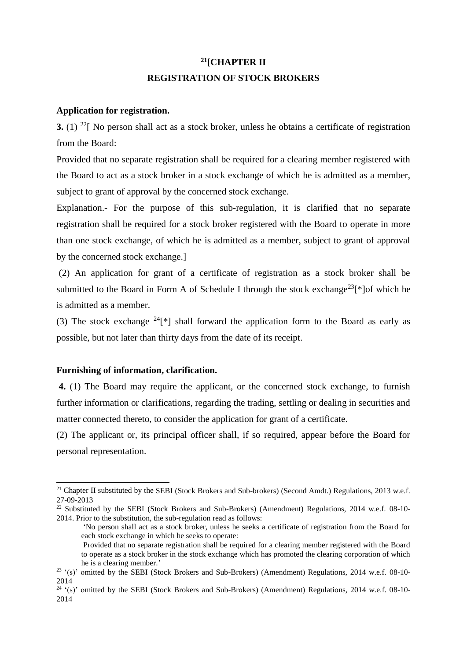# **<sup>21</sup>[CHAPTER II REGISTRATION OF STOCK BROKERS**

## **Application for registration.**

**3.** (1) <sup>22</sup>[ No person shall act as a stock broker, unless he obtains a certificate of registration from the Board:

Provided that no separate registration shall be required for a clearing member registered with the Board to act as a stock broker in a stock exchange of which he is admitted as a member, subject to grant of approval by the concerned stock exchange.

Explanation.- For the purpose of this sub-regulation, it is clarified that no separate registration shall be required for a stock broker registered with the Board to operate in more than one stock exchange, of which he is admitted as a member, subject to grant of approval by the concerned stock exchange.]

(2) An application for grant of a certificate of registration as a stock broker shall be submitted to the Board in Form A of Schedule I through the stock exchange<sup>23</sup>[\*]of which he is admitted as a member.

(3) The stock exchange  $^{24}$ [\*] shall forward the application form to the Board as early as possible, but not later than thirty days from the date of its receipt.

## **Furnishing of information, clarification.**

-

**4.** (1) The Board may require the applicant, or the concerned stock exchange, to furnish further information or clarifications, regarding the trading, settling or dealing in securities and matter connected thereto, to consider the application for grant of a certificate.

(2) The applicant or, its principal officer shall, if so required, appear before the Board for personal representation.

<sup>&</sup>lt;sup>21</sup> Chapter II substituted by the SEBI (Stock Brokers and Sub-brokers) (Second Amdt.) Regulations, 2013 w.e.f. 27-09-2013

<sup>&</sup>lt;sup>22</sup> Substituted by the SEBI (Stock Brokers and Sub-Brokers) (Amendment) Regulations, 2014 w.e.f. 08-10-2014. Prior to the substitution, the sub-regulation read as follows:

<sup>&#</sup>x27;No person shall act as a stock broker, unless he seeks a certificate of registration from the Board for each stock exchange in which he seeks to operate:

Provided that no separate registration shall be required for a clearing member registered with the Board to operate as a stock broker in the stock exchange which has promoted the clearing corporation of which he is a clearing member.'

<sup>&</sup>lt;sup>23</sup> '(s)' omitted by the SEBI (Stock Brokers and Sub-Brokers) (Amendment) Regulations, 2014 w.e.f. 08-10-2014

<sup>24</sup> '(s)' omitted by the SEBI (Stock Brokers and Sub-Brokers) (Amendment) Regulations, 2014 w.e.f. 08-10- 2014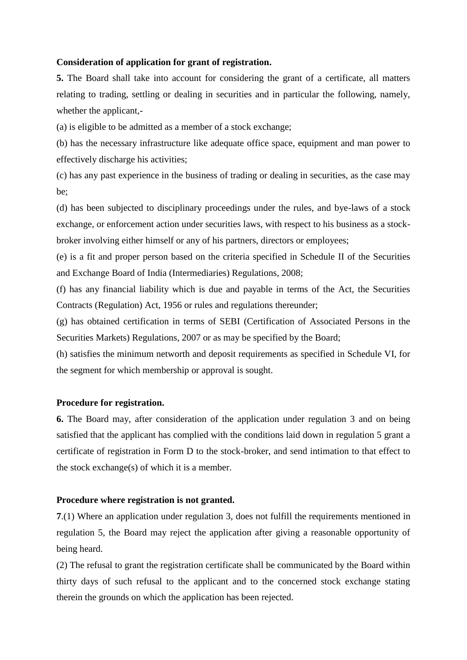### **Consideration of application for grant of registration.**

**5.** The Board shall take into account for considering the grant of a certificate, all matters relating to trading, settling or dealing in securities and in particular the following, namely, whether the applicant,-

(a) is eligible to be admitted as a member of a stock exchange;

(b) has the necessary infrastructure like adequate office space, equipment and man power to effectively discharge his activities;

(c) has any past experience in the business of trading or dealing in securities, as the case may be;

(d) has been subjected to disciplinary proceedings under the rules, and bye-laws of a stock exchange, or enforcement action under securities laws, with respect to his business as a stockbroker involving either himself or any of his partners, directors or employees;

(e) is a fit and proper person based on the criteria specified in Schedule II of the Securities and Exchange Board of India (Intermediaries) Regulations, 2008;

(f) has any financial liability which is due and payable in terms of the Act, the Securities Contracts (Regulation) Act, 1956 or rules and regulations thereunder;

(g) has obtained certification in terms of SEBI (Certification of Associated Persons in the Securities Markets) Regulations, 2007 or as may be specified by the Board;

(h) satisfies the minimum networth and deposit requirements as specified in Schedule VI, for the segment for which membership or approval is sought.

### **Procedure for registration.**

**6.** The Board may, after consideration of the application under regulation 3 and on being satisfied that the applicant has complied with the conditions laid down in regulation 5 grant a certificate of registration in Form D to the stock-broker, and send intimation to that effect to the stock exchange(s) of which it is a member.

### **Procedure where registration is not granted.**

**7**.(1) Where an application under regulation 3, does not fulfill the requirements mentioned in regulation 5, the Board may reject the application after giving a reasonable opportunity of being heard.

(2) The refusal to grant the registration certificate shall be communicated by the Board within thirty days of such refusal to the applicant and to the concerned stock exchange stating therein the grounds on which the application has been rejected.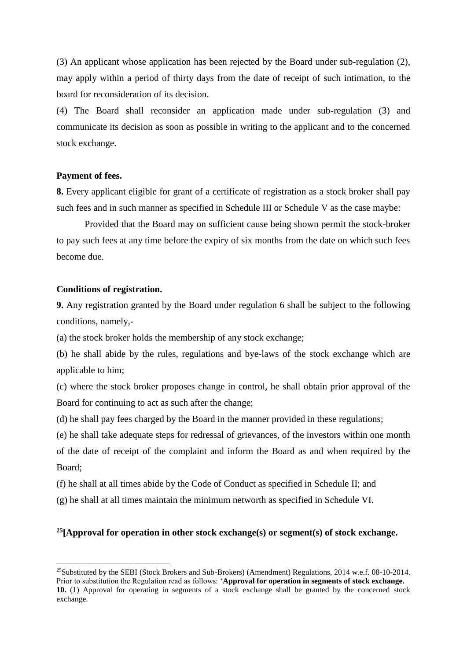(3) An applicant whose application has been rejected by the Board under sub-regulation (2), may apply within a period of thirty days from the date of receipt of such intimation, to the board for reconsideration of its decision.

(4) The Board shall reconsider an application made under sub-regulation (3) and communicate its decision as soon as possible in writing to the applicant and to the concerned stock exchange.

### **Payment of fees.**

**8.** Every applicant eligible for grant of a certificate of registration as a stock broker shall pay such fees and in such manner as specified in Schedule III or Schedule V as the case maybe:

Provided that the Board may on sufficient cause being shown permit the stock-broker to pay such fees at any time before the expiry of six months from the date on which such fees become due.

#### **Conditions of registration.**

-

**9.** Any registration granted by the Board under regulation 6 shall be subject to the following conditions, namely,-

(a) the stock broker holds the membership of any stock exchange;

(b) he shall abide by the rules, regulations and bye-laws of the stock exchange which are applicable to him;

(c) where the stock broker proposes change in control, he shall obtain prior approval of the Board for continuing to act as such after the change;

(d) he shall pay fees charged by the Board in the manner provided in these regulations;

(e) he shall take adequate steps for redressal of grievances, of the investors within one month of the date of receipt of the complaint and inform the Board as and when required by the Board;

(f) he shall at all times abide by the Code of Conduct as specified in Schedule II; and

(g) he shall at all times maintain the minimum networth as specified in Schedule VI.

## **<sup>25</sup>[Approval for operation in other stock exchange(s) or segment(s) of stock exchange.**

<sup>&</sup>lt;sup>25</sup>Substituted by the SEBI (Stock Brokers and Sub-Brokers) (Amendment) Regulations, 2014 w.e.f.  $08-10-2014$ . Prior to substitution the Regulation read as follows: '**Approval for operation in segments of stock exchange. 10.** (1) Approval for operating in segments of a stock exchange shall be granted by the concerned stock exchange.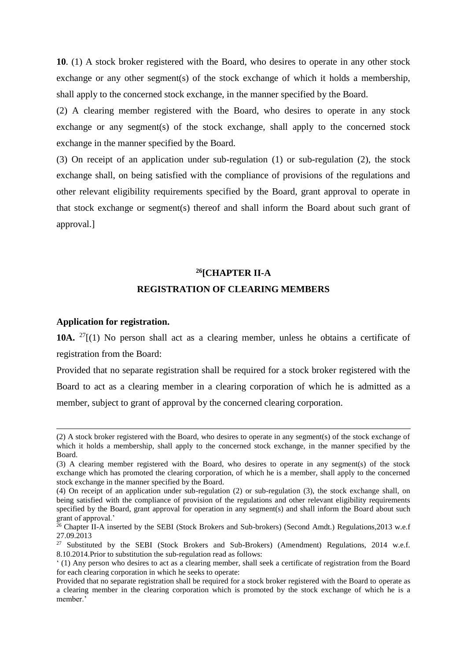**10**. (1) A stock broker registered with the Board, who desires to operate in any other stock exchange or any other segment(s) of the stock exchange of which it holds a membership, shall apply to the concerned stock exchange, in the manner specified by the Board.

(2) A clearing member registered with the Board, who desires to operate in any stock exchange or any segment(s) of the stock exchange, shall apply to the concerned stock exchange in the manner specified by the Board.

(3) On receipt of an application under sub-regulation (1) or sub-regulation (2), the stock exchange shall, on being satisfied with the compliance of provisions of the regulations and other relevant eligibility requirements specified by the Board, grant approval to operate in that stock exchange or segment(s) thereof and shall inform the Board about such grant of approval.]

# **<sup>26</sup>[CHAPTER II-A REGISTRATION OF CLEARING MEMBERS**

### **Application for registration.**

1

**10A.**  $^{27}$ [(1) No person shall act as a clearing member, unless he obtains a certificate of registration from the Board:

Provided that no separate registration shall be required for a stock broker registered with the Board to act as a clearing member in a clearing corporation of which he is admitted as a member, subject to grant of approval by the concerned clearing corporation.

<sup>(2)</sup> A stock broker registered with the Board, who desires to operate in any segment(s) of the stock exchange of which it holds a membership, shall apply to the concerned stock exchange, in the manner specified by the Board.

<sup>(3)</sup> A clearing member registered with the Board, who desires to operate in any segment(s) of the stock exchange which has promoted the clearing corporation, of which he is a member, shall apply to the concerned stock exchange in the manner specified by the Board.

<sup>(4)</sup> On receipt of an application under sub-regulation (2) or sub-regulation (3), the stock exchange shall, on being satisfied with the compliance of provision of the regulations and other relevant eligibility requirements specified by the Board, grant approval for operation in any segment(s) and shall inform the Board about such grant of approval.'

<sup>&</sup>lt;sup>26</sup> Chapter II-A inserted by the SEBI (Stock Brokers and Sub-brokers) (Second Amdt.) Regulations,2013 w.e.f 27.09.2013

<sup>&</sup>lt;sup>27</sup> Substituted by the SEBI (Stock Brokers and Sub-Brokers) (Amendment) Regulations, 2014 w.e.f. 8.10.2014.Prior to substitution the sub-regulation read as follows:

<sup>&#</sup>x27; (1) Any person who desires to act as a clearing member, shall seek a certificate of registration from the Board for each clearing corporation in which he seeks to operate:

Provided that no separate registration shall be required for a stock broker registered with the Board to operate as a clearing member in the clearing corporation which is promoted by the stock exchange of which he is a member.<sup>3</sup>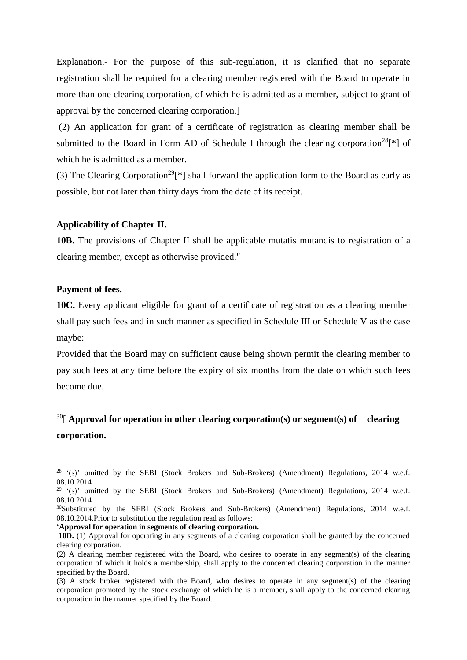Explanation.- For the purpose of this sub-regulation, it is clarified that no separate registration shall be required for a clearing member registered with the Board to operate in more than one clearing corporation, of which he is admitted as a member, subject to grant of approval by the concerned clearing corporation.]

(2) An application for grant of a certificate of registration as clearing member shall be submitted to the Board in Form AD of Schedule I through the clearing corporation<sup>28</sup>[\*] of which he is admitted as a member.

(3) The Clearing Corporation<sup>29</sup><sup>[\*]</sup> shall forward the application form to the Board as early as possible, but not later than thirty days from the date of its receipt.

### **Applicability of Chapter II.**

**10B.** The provisions of Chapter II shall be applicable mutatis mutandis to registration of a clearing member, except as otherwise provided."

### **Payment of fees.**

1

**10C.** Every applicant eligible for grant of a certificate of registration as a clearing member shall pay such fees and in such manner as specified in Schedule III or Schedule V as the case maybe:

Provided that the Board may on sufficient cause being shown permit the clearing member to pay such fees at any time before the expiry of six months from the date on which such fees become due.

## <sup>30</sup>[ Approval for operation in other clearing corporation(s) or segment(s) of clearing **corporation.**

 $28$  '(s)' omitted by the SEBI (Stock Brokers and Sub-Brokers) (Amendment) Regulations, 2014 w.e.f. 08.10.2014

 $29$  '(s)' omitted by the SEBI (Stock Brokers and Sub-Brokers) (Amendment) Regulations, 2014 w.e.f. 08.10.2014

<sup>&</sup>lt;sup>30</sup>Substituted by the SEBI (Stock Brokers and Sub-Brokers) (Amendment) Regulations, 2014 w.e.f. 08.10.2014.Prior to substitution the regulation read as follows:

<sup>&#</sup>x27;**Approval for operation in segments of clearing corporation.**

**<sup>10</sup>D.** (1) Approval for operating in any segments of a clearing corporation shall be granted by the concerned clearing corporation.

<sup>(2)</sup> A clearing member registered with the Board, who desires to operate in any segment(s) of the clearing corporation of which it holds a membership, shall apply to the concerned clearing corporation in the manner specified by the Board.

<sup>(3)</sup> A stock broker registered with the Board, who desires to operate in any segment(s) of the clearing corporation promoted by the stock exchange of which he is a member, shall apply to the concerned clearing corporation in the manner specified by the Board.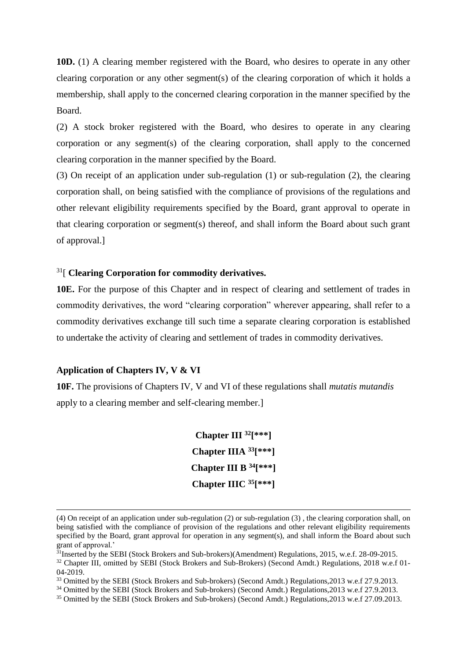**10D.** (1) A clearing member registered with the Board, who desires to operate in any other clearing corporation or any other segment(s) of the clearing corporation of which it holds a membership, shall apply to the concerned clearing corporation in the manner specified by the Board.

(2) A stock broker registered with the Board, who desires to operate in any clearing corporation or any segment(s) of the clearing corporation, shall apply to the concerned clearing corporation in the manner specified by the Board.

(3) On receipt of an application under sub-regulation (1) or sub-regulation (2), the clearing corporation shall, on being satisfied with the compliance of provisions of the regulations and other relevant eligibility requirements specified by the Board, grant approval to operate in that clearing corporation or segment(s) thereof, and shall inform the Board about such grant of approval.]

## <sup>31</sup>[ **Clearing Corporation for commodity derivatives.**

**10E.** For the purpose of this Chapter and in respect of clearing and settlement of trades in commodity derivatives, the word "clearing corporation" wherever appearing, shall refer to a commodity derivatives exchange till such time a separate clearing corporation is established to undertake the activity of clearing and settlement of trades in commodity derivatives.

#### **Application of Chapters IV, V & VI**

-

**10F.** The provisions of Chapters IV, V and VI of these regulations shall *mutatis mutandis* apply to a clearing member and self-clearing member.]

> **Chapter III <sup>32</sup>[\*\*\*] Chapter IIIA <sup>33</sup>[\*\*\*] Chapter III B <sup>34</sup>[\*\*\*] Chapter IIIC <sup>35</sup>[\*\*\*]**

<sup>(4)</sup> On receipt of an application under sub-regulation (2) or sub-regulation (3) , the clearing corporation shall, on being satisfied with the compliance of provision of the regulations and other relevant eligibility requirements specified by the Board, grant approval for operation in any segment(s), and shall inform the Board about such grant of approval.'

<sup>31</sup>Inserted by the SEBI (Stock Brokers and Sub-brokers)(Amendment) Regulations, 2015, w.e.f. 28-09-2015.

<sup>32</sup> Chapter III, omitted by SEBI (Stock Brokers and Sub-Brokers) (Second Amdt.) Regulations, 2018 w.e.f 01- 04-2019.

<sup>33</sup> Omitted by the SEBI (Stock Brokers and Sub-brokers) (Second Amdt.) Regulations,2013 w.e.f 27.9.2013.

<sup>34</sup> Omitted by the SEBI (Stock Brokers and Sub-brokers) (Second Amdt.) Regulations,2013 w.e.f 27.9.2013.

<sup>35</sup> Omitted by the SEBI (Stock Brokers and Sub-brokers) (Second Amdt.) Regulations,2013 w.e.f 27.09.2013.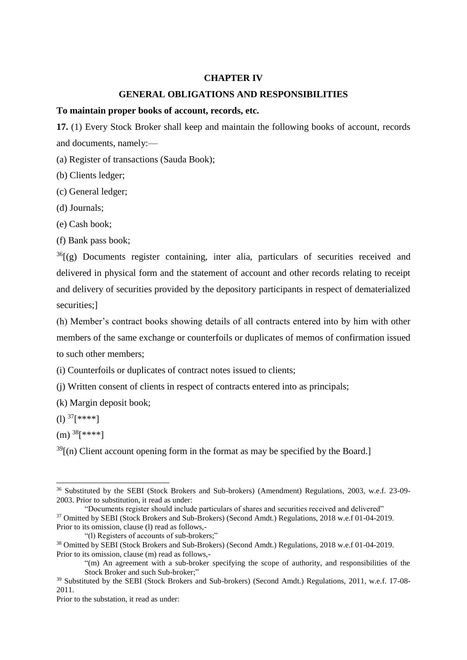### **CHAPTER IV**

## **GENERAL OBLIGATIONS AND RESPONSIBILITIES**

#### **To maintain proper books of account, records, etc.**

**17.** (1) Every Stock Broker shall keep and maintain the following books of account, records and documents, namely:—

(a) Register of transactions (Sauda Book);

(b) Clients ledger;

(c) General ledger;

(d) Journals;

(e) Cash book;

(f) Bank pass book;

 $36$ [(g) Documents register containing, inter alia, particulars of securities received and delivered in physical form and the statement of account and other records relating to receipt and delivery of securities provided by the depository participants in respect of dematerialized securities:1

(h) Member's contract books showing details of all contracts entered into by him with other members of the same exchange or counterfoils or duplicates of memos of confirmation issued to such other members;

(i) Counterfoils or duplicates of contract notes issued to clients;

(j) Written consent of clients in respect of contracts entered into as principals;

(k) Margin deposit book;

(1)  $37$ [\*\*\*\*]

 $(m)$ <sup>38</sup>[\*\*\*\*]

 $\overline{a}$ 

 $39$ [(n) Client account opening form in the format as may be specified by the Board.]

"(l) Registers of accounts of sub-brokers;"

<sup>36</sup> Substituted by the SEBI (Stock Brokers and Sub-brokers) (Amendment) Regulations, 2003, w.e.f. 23-09- 2003. Prior to substitution, it read as under:

<sup>&</sup>quot;Documents register should include particulars of shares and securities received and delivered" <sup>37</sup> Omitted by SEBI (Stock Brokers and Sub-Brokers) (Second Amdt.) Regulations, 2018 w.e.f 01-04-2019. Prior to its omission, clause (l) read as follows,-

<sup>38</sup> Omitted by SEBI (Stock Brokers and Sub-Brokers) (Second Amdt.) Regulations, 2018 w.e.f 01-04-2019. Prior to its omission, clause (m) read as follows,-

<sup>&</sup>quot;(m) An agreement with a sub-broker specifying the scope of authority, and responsibilities of the Stock Broker and such Sub-broker;"

<sup>&</sup>lt;sup>39</sup> Substituted by the SEBI (Stock Brokers and Sub-brokers) (Second Amdt.) Regulations, 2011, w.e.f. 17-08-2011.

Prior to the substation, it read as under: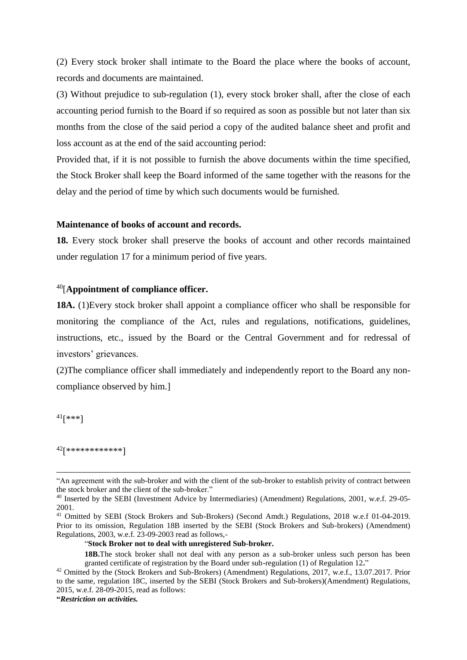(2) Every stock broker shall intimate to the Board the place where the books of account, records and documents are maintained.

(3) Without prejudice to sub-regulation (1), every stock broker shall, after the close of each accounting period furnish to the Board if so required as soon as possible but not later than six months from the close of the said period a copy of the audited balance sheet and profit and loss account as at the end of the said accounting period:

Provided that, if it is not possible to furnish the above documents within the time specified, the Stock Broker shall keep the Board informed of the same together with the reasons for the delay and the period of time by which such documents would be furnished.

#### **Maintenance of books of account and records.**

**18.** Every stock broker shall preserve the books of account and other records maintained under regulation 17 for a minimum period of five years.

## <sup>40</sup>[**Appointment of compliance officer.**

**18A.** (1)Every stock broker shall appoint a compliance officer who shall be responsible for monitoring the compliance of the Act, rules and regulations, notifications, guidelines, instructions, etc., issued by the Board or the Central Government and for redressal of investors' grievances.

(2)The compliance officer shall immediately and independently report to the Board any noncompliance observed by him.]

 $41$ [\*\*\*]

1

<sup>42</sup>[\*\*\*\*\*\*\*\*\*\*\*\*]

```
"Restriction on activities.
```
<sup>&</sup>quot;An agreement with the sub-broker and with the client of the sub-broker to establish privity of contract between the stock broker and the client of the sub-broker."

<sup>&</sup>lt;sup>40</sup> Inserted by the SEBI (Investment Advice by Intermediaries) (Amendment) Regulations, 2001, w.e.f. 29-05-2001.

<sup>&</sup>lt;sup>41</sup> Omitted by SEBI (Stock Brokers and Sub-Brokers) (Second Amdt.) Regulations, 2018 w.e.f 01-04-2019. Prior to its omission, Regulation 18B inserted by the SEBI (Stock Brokers and Sub-brokers) (Amendment) Regulations, 2003, w.e.f. 23-09-2003 read as follows,-

<sup>&</sup>quot;**Stock Broker not to deal with unregistered Sub-broker.**

**<sup>18</sup>B.**The stock broker shall not deal with any person as a sub-broker unless such person has been granted certificate of registration by the Board under sub-regulation (1) of Regulation 12**.**"

<sup>&</sup>lt;sup>42</sup> Omitted by the (Stock Brokers and Sub-Brokers) (Amendment) Regulations, 2017, w.e.f., 13.07.2017. Prior to the same, regulation 18C, inserted by the SEBI (Stock Brokers and Sub-brokers)(Amendment) Regulations, 2015, w.e.f. 28-09-2015, read as follows: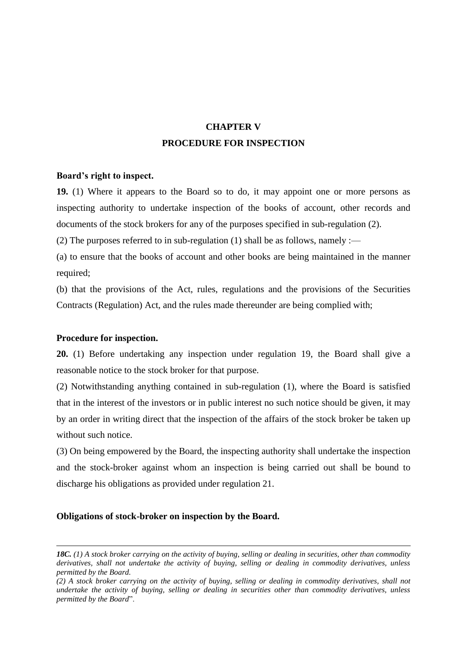## **CHAPTER V PROCEDURE FOR INSPECTION**

### **Board's right to inspect.**

**19.** (1) Where it appears to the Board so to do, it may appoint one or more persons as inspecting authority to undertake inspection of the books of account, other records and documents of the stock brokers for any of the purposes specified in sub-regulation (2).

(2) The purposes referred to in sub-regulation (1) shall be as follows, namely :—

(a) to ensure that the books of account and other books are being maintained in the manner required;

(b) that the provisions of the Act, rules, regulations and the provisions of the Securities Contracts (Regulation) Act, and the rules made thereunder are being complied with;

### **Procedure for inspection.**

1

**20.** (1) Before undertaking any inspection under regulation 19, the Board shall give a reasonable notice to the stock broker for that purpose.

(2) Notwithstanding anything contained in sub-regulation (1), where the Board is satisfied that in the interest of the investors or in public interest no such notice should be given, it may by an order in writing direct that the inspection of the affairs of the stock broker be taken up without such notice.

(3) On being empowered by the Board, the inspecting authority shall undertake the inspection and the stock-broker against whom an inspection is being carried out shall be bound to discharge his obligations as provided under regulation 21.

### **Obligations of stock-broker on inspection by the Board.**

*<sup>18</sup>C. (1) A stock broker carrying on the activity of buying, selling or dealing in securities, other than commodity derivatives, shall not undertake the activity of buying, selling or dealing in commodity derivatives, unless permitted by the Board.*

*<sup>(2)</sup> A stock broker carrying on the activity of buying, selling or dealing in commodity derivatives, shall not undertake the activity of buying, selling or dealing in securities other than commodity derivatives, unless permitted by the Board*".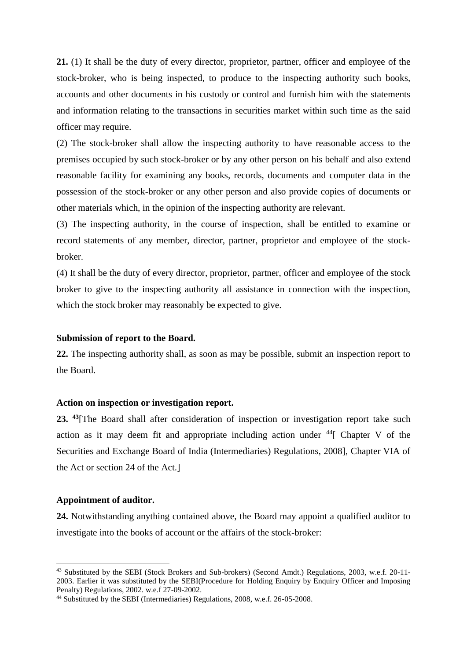**21.** (1) It shall be the duty of every director, proprietor, partner, officer and employee of the stock-broker, who is being inspected, to produce to the inspecting authority such books, accounts and other documents in his custody or control and furnish him with the statements and information relating to the transactions in securities market within such time as the said officer may require.

(2) The stock-broker shall allow the inspecting authority to have reasonable access to the premises occupied by such stock-broker or by any other person on his behalf and also extend reasonable facility for examining any books, records, documents and computer data in the possession of the stock-broker or any other person and also provide copies of documents or other materials which, in the opinion of the inspecting authority are relevant.

(3) The inspecting authority, in the course of inspection, shall be entitled to examine or record statements of any member, director, partner, proprietor and employee of the stockbroker.

(4) It shall be the duty of every director, proprietor, partner, officer and employee of the stock broker to give to the inspecting authority all assistance in connection with the inspection, which the stock broker may reasonably be expected to give.

#### **Submission of report to the Board.**

**22.** The inspecting authority shall, as soon as may be possible, submit an inspection report to the Board.

### **Action on inspection or investigation report.**

**23. <sup>43</sup>**[The Board shall after consideration of inspection or investigation report take such action as it may deem fit and appropriate including action under  $44$ [ Chapter V of the Securities and Exchange Board of India (Intermediaries) Regulations, 2008], Chapter VIA of the Act or section 24 of the Act.]

#### **Appointment of auditor.**

-

**24.** Notwithstanding anything contained above, the Board may appoint a qualified auditor to investigate into the books of account or the affairs of the stock-broker:

<sup>43</sup> Substituted by the SEBI (Stock Brokers and Sub-brokers) (Second Amdt.) Regulations, 2003, w.e.f. 20-11- 2003. Earlier it was substituted by the SEBI(Procedure for Holding Enquiry by Enquiry Officer and Imposing Penalty) Regulations, 2002. w.e.f 27-09-2002.

<sup>&</sup>lt;sup>44</sup> Substituted by the SEBI (Intermediaries) Regulations, 2008, w.e.f. 26-05-2008.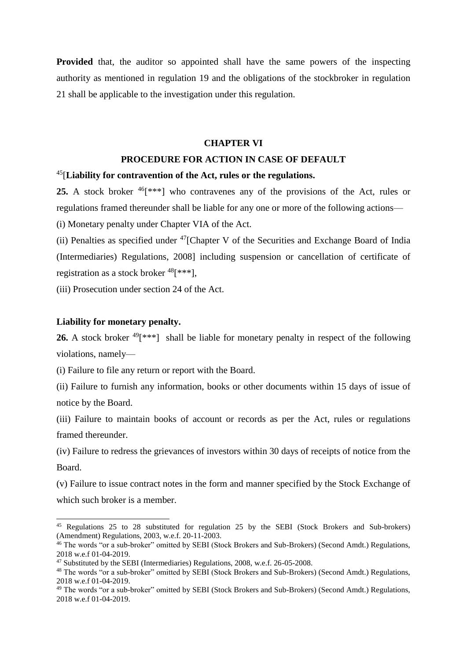**Provided** that, the auditor so appointed shall have the same powers of the inspecting authority as mentioned in regulation 19 and the obligations of the stockbroker in regulation 21 shall be applicable to the investigation under this regulation.

#### **CHAPTER VI**

### **PROCEDURE FOR ACTION IN CASE OF DEFAULT**

### <sup>45</sup>[**Liability for contravention of the Act, rules or the regulations.**

25. A stock broker <sup>46</sup>[\*\*\*] who contravenes any of the provisions of the Act, rules or regulations framed thereunder shall be liable for any one or more of the following actions—

(i) Monetary penalty under Chapter VIA of the Act.

(ii) Penalties as specified under  $47$ [Chapter V of the Securities and Exchange Board of India (Intermediaries) Regulations, 2008] including suspension or cancellation of certificate of registration as a stock broker  $48$ [\*\*\*],

(iii) Prosecution under section 24 of the Act.

### **Liability for monetary penalty.**

1

26. A stock broker <sup>49</sup>[\*\*\*] shall be liable for monetary penalty in respect of the following violations, namely—

(i) Failure to file any return or report with the Board.

(ii) Failure to furnish any information, books or other documents within 15 days of issue of notice by the Board.

(iii) Failure to maintain books of account or records as per the Act, rules or regulations framed thereunder.

(iv) Failure to redress the grievances of investors within 30 days of receipts of notice from the Board.

(v) Failure to issue contract notes in the form and manner specified by the Stock Exchange of which such broker is a member.

<sup>45</sup> Regulations 25 to 28 substituted for regulation 25 by the SEBI (Stock Brokers and Sub-brokers) (Amendment) Regulations, 2003, w.e.f. 20-11-2003.

<sup>&</sup>lt;sup>46</sup> The words "or a sub-broker" omitted by SEBI (Stock Brokers and Sub-Brokers) (Second Amdt.) Regulations, 2018 w.e.f 01-04-2019.

<sup>&</sup>lt;sup>47</sup> Substituted by the SEBI (Intermediaries) Regulations, 2008, w.e.f. 26-05-2008.

<sup>48</sup> The words "or a sub-broker" omitted by SEBI (Stock Brokers and Sub-Brokers) (Second Amdt.) Regulations, 2018 w.e.f 01-04-2019.

<sup>49</sup> The words "or a sub-broker" omitted by SEBI (Stock Brokers and Sub-Brokers) (Second Amdt.) Regulations, 2018 w.e.f 01-04-2019.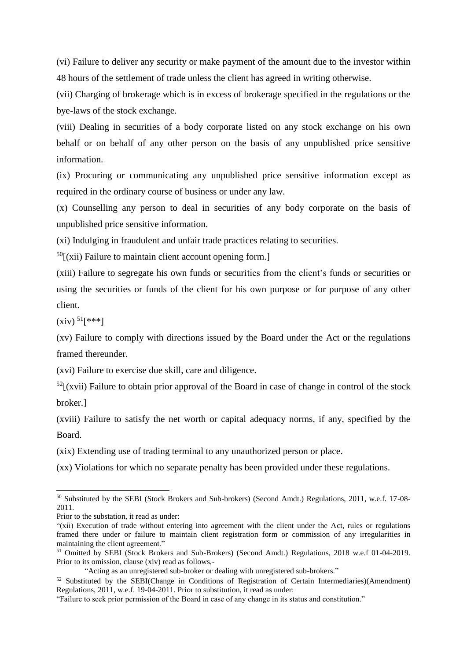(vi) Failure to deliver any security or make payment of the amount due to the investor within 48 hours of the settlement of trade unless the client has agreed in writing otherwise.

(vii) Charging of brokerage which is in excess of brokerage specified in the regulations or the bye-laws of the stock exchange.

(viii) Dealing in securities of a body corporate listed on any stock exchange on his own behalf or on behalf of any other person on the basis of any unpublished price sensitive information.

(ix) Procuring or communicating any unpublished price sensitive information except as required in the ordinary course of business or under any law.

(x) Counselling any person to deal in securities of any body corporate on the basis of unpublished price sensitive information.

(xi) Indulging in fraudulent and unfair trade practices relating to securities.

 $^{50}$ [(xii) Failure to maintain client account opening form.]

(xiii) Failure to segregate his own funds or securities from the client's funds or securities or using the securities or funds of the client for his own purpose or for purpose of any other client.

 $(xiv)^{51}$ [\*\*\*]

-

(xv) Failure to comply with directions issued by the Board under the Act or the regulations framed thereunder.

(xvi) Failure to exercise due skill, care and diligence.

 $52$ [(xvii) Failure to obtain prior approval of the Board in case of change in control of the stock broker.]

(xviii) Failure to satisfy the net worth or capital adequacy norms, if any, specified by the Board.

(xix) Extending use of trading terminal to any unauthorized person or place.

(xx) Violations for which no separate penalty has been provided under these regulations.

<sup>50</sup> Substituted by the SEBI (Stock Brokers and Sub-brokers) (Second Amdt.) Regulations, 2011, w.e.f. 17-08- 2011.

Prior to the substation, it read as under:

<sup>&</sup>quot;(xii) Execution of trade without entering into agreement with the client under the Act, rules or regulations framed there under or failure to maintain client registration form or commission of any irregularities in maintaining the client agreement."

<sup>&</sup>lt;sup>51</sup> Omitted by SEBI (Stock Brokers and Sub-Brokers) (Second Amdt.) Regulations, 2018 w.e.f 01-04-2019. Prior to its omission, clause (xiv) read as follows,-

<sup>&</sup>quot;Acting as an unregistered sub-broker or dealing with unregistered sub-brokers."

<sup>&</sup>lt;sup>52</sup> Substituted by the SEBI(Change in Conditions of Registration of Certain Intermediaries)(Amendment) Regulations, 2011, w.e.f. 19-04-2011. Prior to substitution, it read as under:

<sup>&</sup>quot;Failure to seek prior permission of the Board in case of any change in its status and constitution."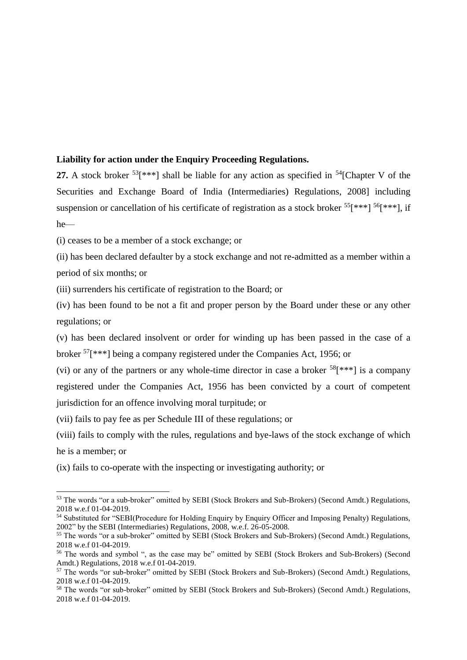## **Liability for action under the Enquiry Proceeding Regulations.**

**27.** A stock broker  $53$ [\*\*\*] shall be liable for any action as specified in  $54$ [Chapter V of the Securities and Exchange Board of India (Intermediaries) Regulations, 2008] including suspension or cancellation of his certificate of registration as a stock broker  $55$ [\*\*\*]  $56$ [\*\*\*], if he—

(i) ceases to be a member of a stock exchange; or

(ii) has been declared defaulter by a stock exchange and not re-admitted as a member within a period of six months; or

(iii) surrenders his certificate of registration to the Board; or

(iv) has been found to be not a fit and proper person by the Board under these or any other regulations; or

(v) has been declared insolvent or order for winding up has been passed in the case of a broker <sup>57</sup>[\*\*\*] being a company registered under the Companies Act, 1956; or

(vi) or any of the partners or any whole-time director in case a broker  $58$ [\*\*\*] is a company registered under the Companies Act, 1956 has been convicted by a court of competent jurisdiction for an offence involving moral turpitude; or

(vii) fails to pay fee as per Schedule III of these regulations; or

-

(viii) fails to comply with the rules, regulations and bye-laws of the stock exchange of which he is a member; or

(ix) fails to co-operate with the inspecting or investigating authority; or

<sup>53</sup> The words "or a sub-broker" omitted by SEBI (Stock Brokers and Sub-Brokers) (Second Amdt.) Regulations, 2018 w.e.f 01-04-2019.

<sup>54</sup> Substituted for "SEBI(Procedure for Holding Enquiry by Enquiry Officer and Imposing Penalty) Regulations, 2002" by the SEBI (Intermediaries) Regulations, 2008, w.e.f. 26-05-2008.

<sup>&</sup>lt;sup>55</sup> The words "or a sub-broker" omitted by SEBI (Stock Brokers and Sub-Brokers) (Second Amdt.) Regulations, 2018 w.e.f 01-04-2019.

<sup>56</sup> The words and symbol ", as the case may be" omitted by SEBI (Stock Brokers and Sub-Brokers) (Second Amdt.) Regulations, 2018 w.e.f 01-04-2019.

<sup>57</sup> The words "or sub-broker" omitted by SEBI (Stock Brokers and Sub-Brokers) (Second Amdt.) Regulations, 2018 w.e.f 01-04-2019.

<sup>58</sup> The words "or sub-broker" omitted by SEBI (Stock Brokers and Sub-Brokers) (Second Amdt.) Regulations, 2018 w.e.f 01-04-2019.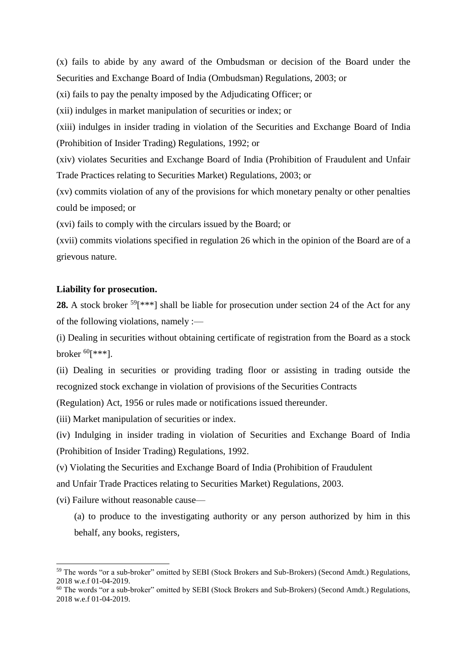(x) fails to abide by any award of the Ombudsman or decision of the Board under the Securities and Exchange Board of India (Ombudsman) Regulations, 2003; or

(xi) fails to pay the penalty imposed by the Adjudicating Officer; or

(xii) indulges in market manipulation of securities or index; or

(xiii) indulges in insider trading in violation of the Securities and Exchange Board of India (Prohibition of Insider Trading) Regulations, 1992; or

(xiv) violates Securities and Exchange Board of India (Prohibition of Fraudulent and Unfair Trade Practices relating to Securities Market) Regulations, 2003; or

(xv) commits violation of any of the provisions for which monetary penalty or other penalties could be imposed; or

(xvi) fails to comply with the circulars issued by the Board; or

(xvii) commits violations specified in regulation 26 which in the opinion of the Board are of a grievous nature.

### **Liability for prosecution.**

28. A stock broker <sup>59</sup>[<sup>\*\*\*</sup>] shall be liable for prosecution under section 24 of the Act for any of the following violations, namely :—

(i) Dealing in securities without obtaining certificate of registration from the Board as a stock broker  ${}^{60}$ [\*\*\*].

(ii) Dealing in securities or providing trading floor or assisting in trading outside the recognized stock exchange in violation of provisions of the Securities Contracts

(Regulation) Act, 1956 or rules made or notifications issued thereunder.

(iii) Market manipulation of securities or index.

(iv) Indulging in insider trading in violation of Securities and Exchange Board of India (Prohibition of Insider Trading) Regulations, 1992.

(v) Violating the Securities and Exchange Board of India (Prohibition of Fraudulent

and Unfair Trade Practices relating to Securities Market) Regulations, 2003.

(vi) Failure without reasonable cause—

-

(a) to produce to the investigating authority or any person authorized by him in this behalf, any books, registers,

<sup>59</sup> The words "or a sub-broker" omitted by SEBI (Stock Brokers and Sub-Brokers) (Second Amdt.) Regulations, 2018 w.e.f 01-04-2019.

<sup>60</sup> The words "or a sub-broker" omitted by SEBI (Stock Brokers and Sub-Brokers) (Second Amdt.) Regulations, 2018 w.e.f 01-04-2019.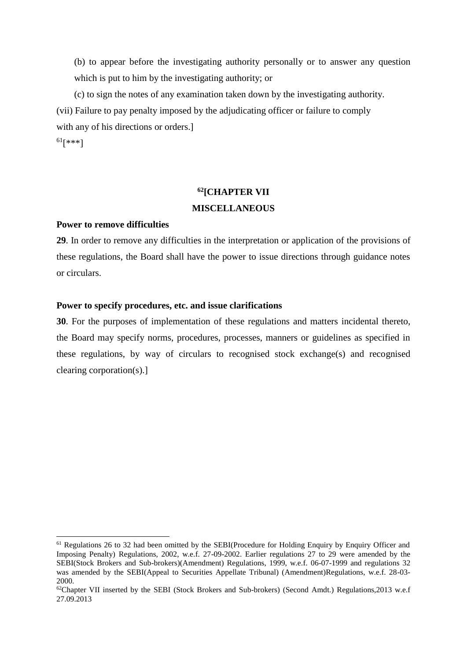(b) to appear before the investigating authority personally or to answer any question which is put to him by the investigating authority; or

(c) to sign the notes of any examination taken down by the investigating authority. (vii) Failure to pay penalty imposed by the adjudicating officer or failure to comply with any of his directions or orders.]

 $61$ [\*\*\*]

 $\overline{a}$ 

## **<sup>62</sup>[CHAPTER VII MISCELLANEOUS**

### **Power to remove difficulties**

**29**. In order to remove any difficulties in the interpretation or application of the provisions of these regulations, the Board shall have the power to issue directions through guidance notes or circulars.

## **Power to specify procedures, etc. and issue clarifications**

**30**. For the purposes of implementation of these regulations and matters incidental thereto, the Board may specify norms, procedures, processes, manners or guidelines as specified in these regulations, by way of circulars to recognised stock exchange(s) and recognised clearing corporation(s).]

<sup>61</sup> Regulations 26 to 32 had been omitted by the SEBI(Procedure for Holding Enquiry by Enquiry Officer and Imposing Penalty) Regulations, 2002, w.e.f. 27-09-2002. Earlier regulations 27 to 29 were amended by the SEBI(Stock Brokers and Sub-brokers)(Amendment) Regulations, 1999, w.e.f. 06-07-1999 and regulations 32 was amended by the SEBI(Appeal to Securities Appellate Tribunal) (Amendment)Regulations, w.e.f. 28-03- 2000.

 $62$ Chapter VII inserted by the SEBI (Stock Brokers and Sub-brokers) (Second Amdt.) Regulations, 2013 w.e.f 27.09.2013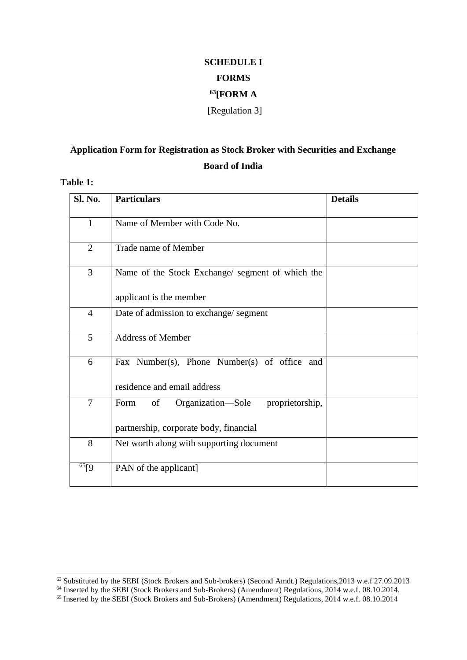# **SCHEDULE I FORMS <sup>63</sup>[FORM A** [Regulation 3]

## **Application Form for Registration as Stock Broker with Securities and Exchange Board of India**

## **Table 1:**

 $\overline{a}$ 

| Sl. No.        | <b>Particulars</b>                                 | <b>Details</b> |
|----------------|----------------------------------------------------|----------------|
| $\mathbf{1}$   | Name of Member with Code No.                       |                |
| $\overline{2}$ | Trade name of Member                               |                |
| 3              | Name of the Stock Exchange/ segment of which the   |                |
|                | applicant is the member                            |                |
| $\overline{4}$ | Date of admission to exchange/ segment             |                |
| 5              | <b>Address of Member</b>                           |                |
| 6              | Fax Number(s), Phone Number(s) of office and       |                |
|                | residence and email address                        |                |
| $\overline{7}$ | Organization—Sole<br>proprietorship,<br>Form<br>of |                |
|                | partnership, corporate body, financial             |                |
| 8              | Net worth along with supporting document           |                |
| $\frac{65}{9}$ | PAN of the applicant]                              |                |

<sup>63</sup> Substituted by the SEBI (Stock Brokers and Sub-brokers) (Second Amdt.) Regulations,2013 w.e.f 27.09.2013

<sup>64</sup> Inserted by the SEBI (Stock Brokers and Sub-Brokers) (Amendment) Regulations, 2014 w.e.f. 08.10.2014.

<sup>65</sup> Inserted by the SEBI (Stock Brokers and Sub-Brokers) (Amendment) Regulations, 2014 w.e.f. 08.10.2014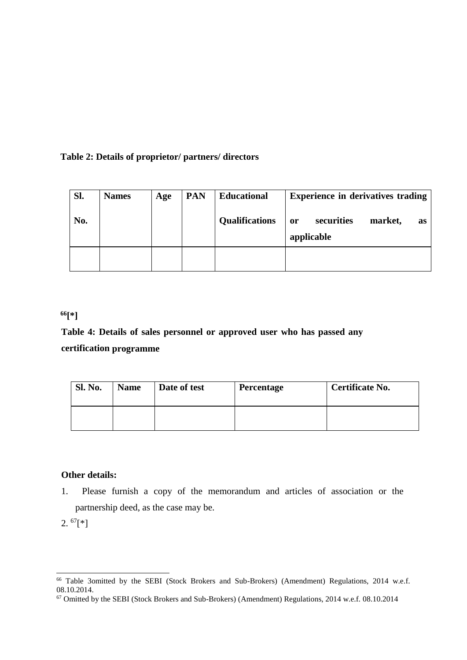## **Table 2: Details of proprietor/ partners/ directors**

| Sl. | <b>Names</b> | Age | <b>PAN</b> | <b>Educational</b>    | <b>Experience in derivatives trading</b>               |
|-----|--------------|-----|------------|-----------------------|--------------------------------------------------------|
| No. |              |     |            | <b>Qualifications</b> | securities<br>market,<br><b>or</b><br>as<br>applicable |
|     |              |     |            |                       |                                                        |

## **<sup>66</sup>[\*]**

# **Table 4: Details of sales personnel or approved user who has passed any certification programme**

| <b>Sl. No.</b> | <b>Name</b> | Date of test | <b>Percentage</b> | Certificate No. |
|----------------|-------------|--------------|-------------------|-----------------|
|                |             |              |                   |                 |

## **Other details:**

1. Please furnish a copy of the memorandum and articles of association or the partnership deed, as the case may be.

 $2.~^{67}$ [\*]

 $\overline{a}$ 

<sup>66</sup> Table 3omitted by the SEBI (Stock Brokers and Sub-Brokers) (Amendment) Regulations, 2014 w.e.f. 08.10.2014.

<sup>&</sup>lt;sup>67</sup> Omitted by the SEBI (Stock Brokers and Sub-Brokers) (Amendment) Regulations, 2014 w.e.f. 08.10.2014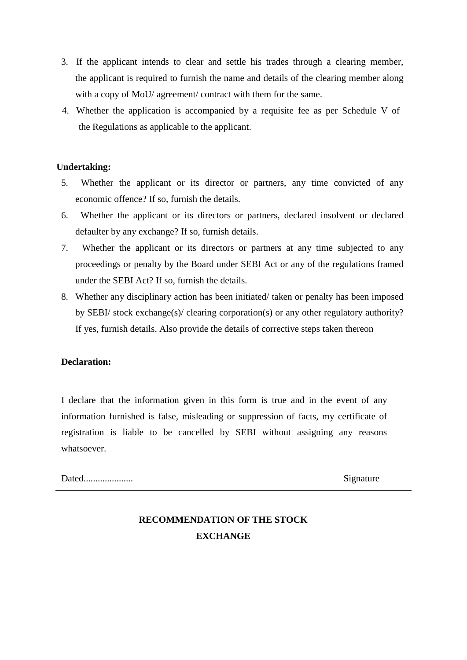- 3. If the applicant intends to clear and settle his trades through a clearing member, the applicant is required to furnish the name and details of the clearing member along with a copy of MoU/ agreement/ contract with them for the same.
- 4. Whether the application is accompanied by a requisite fee as per Schedule V of the Regulations as applicable to the applicant.

## **Undertaking:**

- 5. Whether the applicant or its director or partners, any time convicted of any economic offence? If so, furnish the details.
- 6. Whether the applicant or its directors or partners, declared insolvent or declared defaulter by any exchange? If so, furnish details.
- 7. Whether the applicant or its directors or partners at any time subjected to any proceedings or penalty by the Board under SEBI Act or any of the regulations framed under the SEBI Act? If so, furnish the details.
- 8. Whether any disciplinary action has been initiated/ taken or penalty has been imposed by SEBI/ stock exchange(s)/ clearing corporation(s) or any other regulatory authority? If yes, furnish details. Also provide the details of corrective steps taken thereon

## **Declaration:**

I declare that the information given in this form is true and in the event of any information furnished is false, misleading or suppression of facts, my certificate of registration is liable to be cancelled by SEBI without assigning any reasons whatsoever.

Dated..................... Signature

## **RECOMMENDATION OF THE STOCK EXCHANGE**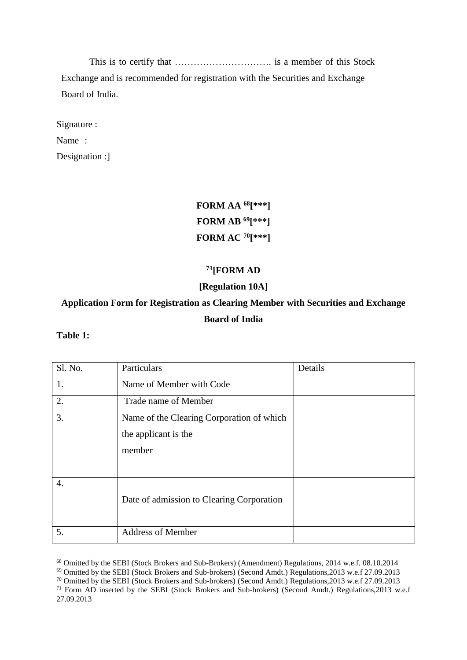This is to certify that …………………………. is a member of this Stock Exchange and is recommended for registration with the Securities and Exchange Board of India.

Signature :

Name :

Designation :]

# **FORM AA <sup>68</sup>[\*\*\*] FORM AB <sup>69</sup>[\*\*\*] FORM AC <sup>70</sup>[\*\*\*]**

## **<sup>71</sup>[FORM AD**

## **[Regulation 10A]**

## **Application Form for Registration as Clearing Member with Securities and Exchange Board of India**

### **Table 1:**

-

| Sl. No.          | Particulars                                                                 | Details |
|------------------|-----------------------------------------------------------------------------|---------|
| 1.               | Name of Member with Code                                                    |         |
| 2.               | Trade name of Member                                                        |         |
| 3.               | Name of the Clearing Corporation of which<br>the applicant is the<br>member |         |
| $\overline{4}$ . | Date of admission to Clearing Corporation                                   |         |
| 5.               | <b>Address of Member</b>                                                    |         |

<sup>&</sup>lt;sup>68</sup> Omitted by the SEBI (Stock Brokers and Sub-Brokers) (Amendment) Regulations, 2014 w.e.f. 08.10.2014

<sup>69</sup> Omitted by the SEBI (Stock Brokers and Sub-brokers) (Second Amdt.) Regulations,2013 w.e.f 27.09.2013

<sup>70</sup> Omitted by the SEBI (Stock Brokers and Sub-brokers) (Second Amdt.) Regulations,2013 w.e.f 27.09.2013 <sup>71</sup> Form AD inserted by the SEBI (Stock Brokers and Sub-brokers) (Second Amdt.) Regulations, 2013 w.e.f 27.09.2013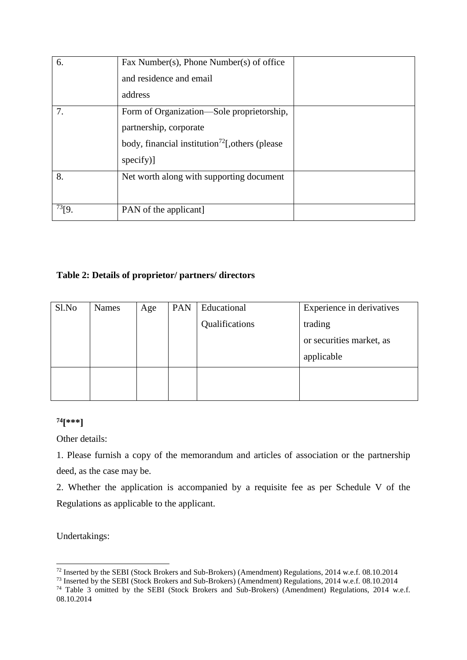| 6.          | Fax Number(s), Phone Number(s) of office<br>and residence and email                                                                             |  |
|-------------|-------------------------------------------------------------------------------------------------------------------------------------------------|--|
|             | address                                                                                                                                         |  |
| 7.          | Form of Organization—Sole proprietorship,<br>partnership, corporate<br>body, financial institution <sup>72</sup> [, others (please<br>specify)] |  |
| 8.          | Net worth along with supporting document                                                                                                        |  |
| $^{73}$ [9. | PAN of the applicant                                                                                                                            |  |

## **Table 2: Details of proprietor/ partners/ directors**

| Sl.No | Names | Age | PAN | Educational    | Experience in derivatives |
|-------|-------|-----|-----|----------------|---------------------------|
|       |       |     |     | Qualifications | trading                   |
|       |       |     |     |                | or securities market, as  |
|       |       |     |     |                | applicable                |
|       |       |     |     |                |                           |
|       |       |     |     |                |                           |

## **<sup>74</sup>[\*\*\*]**

Other details:

1. Please furnish a copy of the memorandum and articles of association or the partnership deed, as the case may be.

2. Whether the application is accompanied by a requisite fee as per Schedule V of the Regulations as applicable to the applicant.

Undertakings:

-

 $^{72}$  Inserted by the SEBI (Stock Brokers and Sub-Brokers) (Amendment) Regulations, 2014 w.e.f. 08.10.2014

<sup>&</sup>lt;sup>73</sup> Inserted by the SEBI (Stock Brokers and Sub-Brokers) (Amendment) Regulations, 2014 w.e.f. 08.10.2014

<sup>74</sup> Table 3 omitted by the SEBI (Stock Brokers and Sub-Brokers) (Amendment) Regulations, 2014 w.e.f. 08.10.2014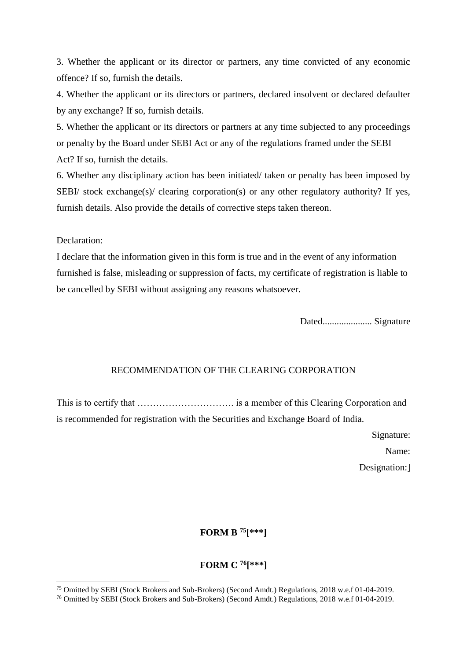3. Whether the applicant or its director or partners, any time convicted of any economic offence? If so, furnish the details.

4. Whether the applicant or its directors or partners, declared insolvent or declared defaulter by any exchange? If so, furnish details.

5. Whether the applicant or its directors or partners at any time subjected to any proceedings or penalty by the Board under SEBI Act or any of the regulations framed under the SEBI Act? If so, furnish the details.

6. Whether any disciplinary action has been initiated/ taken or penalty has been imposed by SEBI/ stock exchange(s)/ clearing corporation(s) or any other regulatory authority? If yes, furnish details. Also provide the details of corrective steps taken thereon.

Declaration:

-

I declare that the information given in this form is true and in the event of any information furnished is false, misleading or suppression of facts, my certificate of registration is liable to be cancelled by SEBI without assigning any reasons whatsoever.

Dated..................... Signature

### RECOMMENDATION OF THE CLEARING CORPORATION

This is to certify that …………………………. is a member of this Clearing Corporation and is recommended for registration with the Securities and Exchange Board of India.

> Signature: Name: Designation:]

## **FORM B <sup>75</sup>[\*\*\*]**

## **FORM C <sup>76</sup>[\*\*\*]**

<sup>75</sup> Omitted by SEBI (Stock Brokers and Sub-Brokers) (Second Amdt.) Regulations, 2018 w.e.f 01-04-2019.

<sup>76</sup> Omitted by SEBI (Stock Brokers and Sub-Brokers) (Second Amdt.) Regulations, 2018 w.e.f 01-04-2019.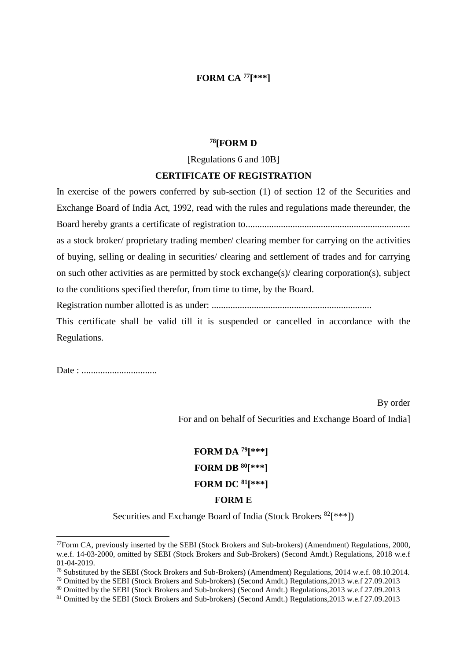## **FORM CA <sup>77</sup>[\*\*\*]**

### **<sup>78</sup>[FORM D**

[Regulations 6 and 10B]

### **CERTIFICATE OF REGISTRATION**

In exercise of the powers conferred by sub-section (1) of section 12 of the Securities and Exchange Board of India Act, 1992, read with the rules and regulations made thereunder, the Board hereby grants a certificate of registration to...................................................................... as a stock broker/ proprietary trading member/ clearing member for carrying on the activities of buying, selling or dealing in securities/ clearing and settlement of trades and for carrying on such other activities as are permitted by stock exchange(s)/ clearing corporation(s), subject to the conditions specified therefor, from time to time, by the Board.

Registration number allotted is as under: ....................................................................

This certificate shall be valid till it is suspended or cancelled in accordance with the Regulations.

Date : ................................

 $\overline{a}$ 

By order

For and on behalf of Securities and Exchange Board of India]

# **FORM DA <sup>79</sup>[\*\*\*] FORM DB <sup>80</sup>[\*\*\*] FORM DC <sup>81</sup>[\*\*\*] FORM E**

Securities and Exchange Board of India (Stock Brokers  $82$ [\*\*\*])

<sup>77</sup>Form CA, previously inserted by the SEBI (Stock Brokers and Sub-brokers) (Amendment) Regulations, 2000, w.e.f. 14-03-2000, omitted by SEBI (Stock Brokers and Sub-Brokers) (Second Amdt.) Regulations, 2018 w.e.f 01-04-2019.

<sup>78</sup> Substituted by the SEBI (Stock Brokers and Sub-Brokers) (Amendment) Regulations, 2014 w.e.f. 08.10.2014.

<sup>79</sup> Omitted by the SEBI (Stock Brokers and Sub-brokers) (Second Amdt.) Regulations,2013 w.e.f 27.09.2013

<sup>80</sup> Omitted by the SEBI (Stock Brokers and Sub-brokers) (Second Amdt.) Regulations,2013 w.e.f 27.09.2013

<sup>81</sup> Omitted by the SEBI (Stock Brokers and Sub-brokers) (Second Amdt.) Regulations,2013 w.e.f 27.09.2013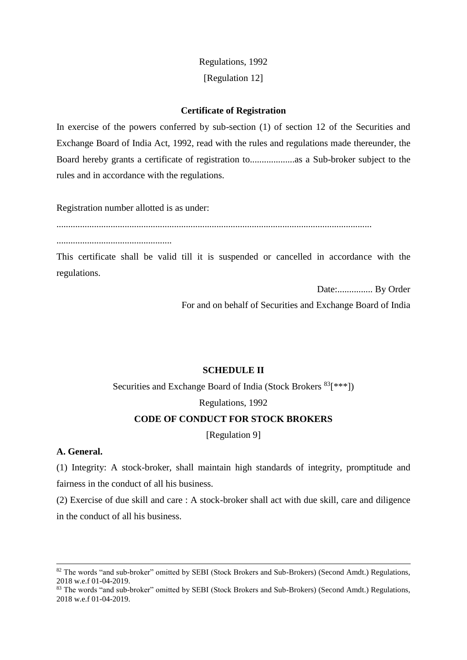## Regulations, 1992 [Regulation 12]

### **Certificate of Registration**

In exercise of the powers conferred by sub-section (1) of section 12 of the Securities and Exchange Board of India Act, 1992, read with the rules and regulations made thereunder, the Board hereby grants a certificate of registration to...................as a Sub-broker subject to the rules and in accordance with the regulations.

Registration number allotted is as under:

......................................................................................................................................

.................................................

This certificate shall be valid till it is suspended or cancelled in accordance with the regulations.

Date:............... By Order

For and on behalf of Securities and Exchange Board of India

## **SCHEDULE II**

Securities and Exchange Board of India (Stock Brokers  $83$ [\*\*\*]) Regulations, 1992

## **CODE OF CONDUCT FOR STOCK BROKERS**

[Regulation 9]

## **A. General.**

-

(1) Integrity: A stock-broker, shall maintain high standards of integrity, promptitude and fairness in the conduct of all his business.

(2) Exercise of due skill and care : A stock-broker shall act with due skill, care and diligence in the conduct of all his business.

<sup>82</sup> The words "and sub-broker" omitted by SEBI (Stock Brokers and Sub-Brokers) (Second Amdt.) Regulations, 2018 w.e.f 01-04-2019.

<sup>83</sup> The words "and sub-broker" omitted by SEBI (Stock Brokers and Sub-Brokers) (Second Amdt.) Regulations, 2018 w.e.f 01-04-2019.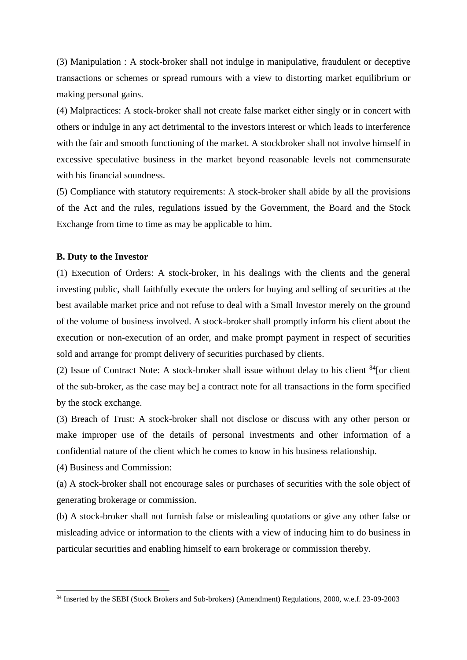(3) Manipulation : A stock-broker shall not indulge in manipulative, fraudulent or deceptive transactions or schemes or spread rumours with a view to distorting market equilibrium or making personal gains.

(4) Malpractices: A stock-broker shall not create false market either singly or in concert with others or indulge in any act detrimental to the investors interest or which leads to interference with the fair and smooth functioning of the market. A stockbroker shall not involve himself in excessive speculative business in the market beyond reasonable levels not commensurate with his financial soundness.

(5) Compliance with statutory requirements: A stock-broker shall abide by all the provisions of the Act and the rules, regulations issued by the Government, the Board and the Stock Exchange from time to time as may be applicable to him.

### **B. Duty to the Investor**

(1) Execution of Orders: A stock-broker, in his dealings with the clients and the general investing public, shall faithfully execute the orders for buying and selling of securities at the best available market price and not refuse to deal with a Small Investor merely on the ground of the volume of business involved. A stock-broker shall promptly inform his client about the execution or non-execution of an order, and make prompt payment in respect of securities sold and arrange for prompt delivery of securities purchased by clients.

(2) Issue of Contract Note: A stock-broker shall issue without delay to his client  $84$ [or client of the sub-broker, as the case may be] a contract note for all transactions in the form specified by the stock exchange.

(3) Breach of Trust: A stock-broker shall not disclose or discuss with any other person or make improper use of the details of personal investments and other information of a confidential nature of the client which he comes to know in his business relationship.

(4) Business and Commission:

 $\overline{a}$ 

(a) A stock-broker shall not encourage sales or purchases of securities with the sole object of generating brokerage or commission.

(b) A stock-broker shall not furnish false or misleading quotations or give any other false or misleading advice or information to the clients with a view of inducing him to do business in particular securities and enabling himself to earn brokerage or commission thereby.

<sup>84</sup> Inserted by the SEBI (Stock Brokers and Sub-brokers) (Amendment) Regulations, 2000, w.e.f. 23-09-2003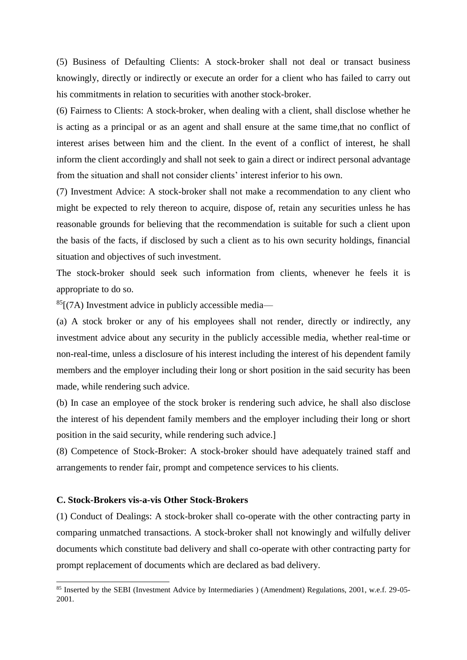(5) Business of Defaulting Clients: A stock-broker shall not deal or transact business knowingly, directly or indirectly or execute an order for a client who has failed to carry out his commitments in relation to securities with another stock-broker.

(6) Fairness to Clients: A stock-broker, when dealing with a client, shall disclose whether he is acting as a principal or as an agent and shall ensure at the same time,that no conflict of interest arises between him and the client. In the event of a conflict of interest, he shall inform the client accordingly and shall not seek to gain a direct or indirect personal advantage from the situation and shall not consider clients' interest inferior to his own.

(7) Investment Advice: A stock-broker shall not make a recommendation to any client who might be expected to rely thereon to acquire, dispose of, retain any securities unless he has reasonable grounds for believing that the recommendation is suitable for such a client upon the basis of the facts, if disclosed by such a client as to his own security holdings, financial situation and objectives of such investment.

The stock-broker should seek such information from clients, whenever he feels it is appropriate to do so.

 $^{85}$ [(7A) Investment advice in publicly accessible media—

(a) A stock broker or any of his employees shall not render, directly or indirectly, any investment advice about any security in the publicly accessible media, whether real-time or non-real-time, unless a disclosure of his interest including the interest of his dependent family members and the employer including their long or short position in the said security has been made, while rendering such advice.

(b) In case an employee of the stock broker is rendering such advice, he shall also disclose the interest of his dependent family members and the employer including their long or short position in the said security, while rendering such advice.]

(8) Competence of Stock-Broker: A stock-broker should have adequately trained staff and arrangements to render fair, prompt and competence services to his clients.

### **C. Stock-Brokers vis-a-vis Other Stock-Brokers**

-

(1) Conduct of Dealings: A stock-broker shall co-operate with the other contracting party in comparing unmatched transactions. A stock-broker shall not knowingly and wilfully deliver documents which constitute bad delivery and shall co-operate with other contracting party for prompt replacement of documents which are declared as bad delivery.

<sup>85</sup> Inserted by the SEBI (Investment Advice by Intermediaries ) (Amendment) Regulations, 2001, w.e.f. 29-05- 2001.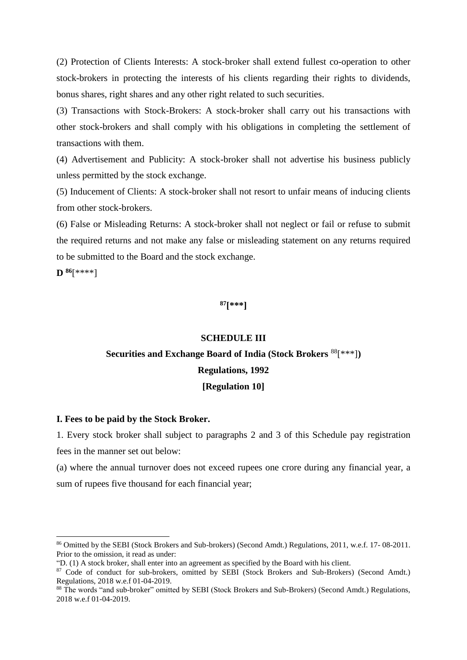(2) Protection of Clients Interests: A stock-broker shall extend fullest co-operation to other stock-brokers in protecting the interests of his clients regarding their rights to dividends, bonus shares, right shares and any other right related to such securities.

(3) Transactions with Stock-Brokers: A stock-broker shall carry out his transactions with other stock-brokers and shall comply with his obligations in completing the settlement of transactions with them.

(4) Advertisement and Publicity: A stock-broker shall not advertise his business publicly unless permitted by the stock exchange.

(5) Inducement of Clients: A stock-broker shall not resort to unfair means of inducing clients from other stock-brokers.

(6) False or Misleading Returns: A stock-broker shall not neglect or fail or refuse to submit the required returns and not make any false or misleading statement on any returns required to be submitted to the Board and the stock exchange.

**D <sup>86</sup>**[\*\*\*\*]

 $\overline{a}$ 

**<sup>87</sup>[\*\*\*]**

#### **SCHEDULE III**

# **Securities and Exchange Board of India (Stock Brokers** <sup>88</sup>[\*\*\*]**) Regulations, 1992 [Regulation 10]**

### **I. Fees to be paid by the Stock Broker.**

1. Every stock broker shall subject to paragraphs 2 and 3 of this Schedule pay registration fees in the manner set out below:

(a) where the annual turnover does not exceed rupees one crore during any financial year, a sum of rupees five thousand for each financial year;

<sup>86</sup> Omitted by the SEBI (Stock Brokers and Sub-brokers) (Second Amdt.) Regulations, 2011, w.e.f. 17- 08-2011. Prior to the omission, it read as under:

<sup>&</sup>quot;D. (1) A stock broker, shall enter into an agreement as specified by the Board with his client.

<sup>&</sup>lt;sup>87</sup> Code of conduct for sub-brokers, omitted by SEBI (Stock Brokers and Sub-Brokers) (Second Amdt.) Regulations, 2018 w.e.f 01-04-2019.

<sup>88</sup> The words "and sub-broker" omitted by SEBI (Stock Brokers and Sub-Brokers) (Second Amdt.) Regulations, 2018 w.e.f 01-04-2019.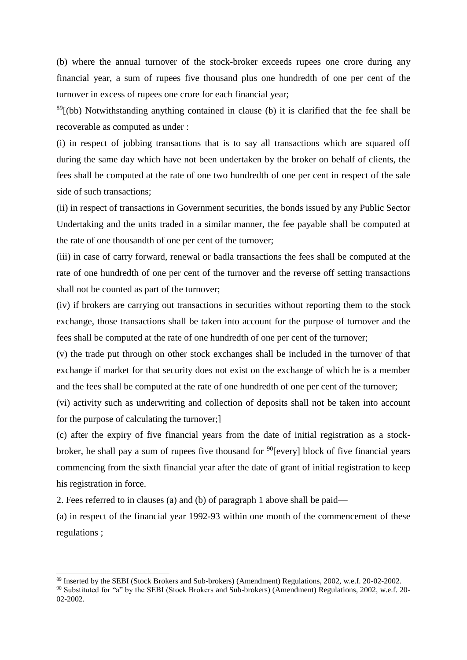(b) where the annual turnover of the stock-broker exceeds rupees one crore during any financial year, a sum of rupees five thousand plus one hundredth of one per cent of the turnover in excess of rupees one crore for each financial year;

 $89$ [(bb) Notwithstanding anything contained in clause (b) it is clarified that the fee shall be recoverable as computed as under :

(i) in respect of jobbing transactions that is to say all transactions which are squared off during the same day which have not been undertaken by the broker on behalf of clients, the fees shall be computed at the rate of one two hundredth of one per cent in respect of the sale side of such transactions;

(ii) in respect of transactions in Government securities, the bonds issued by any Public Sector Undertaking and the units traded in a similar manner, the fee payable shall be computed at the rate of one thousandth of one per cent of the turnover;

(iii) in case of carry forward, renewal or badla transactions the fees shall be computed at the rate of one hundredth of one per cent of the turnover and the reverse off setting transactions shall not be counted as part of the turnover;

(iv) if brokers are carrying out transactions in securities without reporting them to the stock exchange, those transactions shall be taken into account for the purpose of turnover and the fees shall be computed at the rate of one hundredth of one per cent of the turnover;

(v) the trade put through on other stock exchanges shall be included in the turnover of that exchange if market for that security does not exist on the exchange of which he is a member and the fees shall be computed at the rate of one hundredth of one per cent of the turnover;

(vi) activity such as underwriting and collection of deposits shall not be taken into account for the purpose of calculating the turnover;]

(c) after the expiry of five financial years from the date of initial registration as a stockbroker, he shall pay a sum of rupees five thousand for  $90$ [every] block of five financial years commencing from the sixth financial year after the date of grant of initial registration to keep his registration in force.

2. Fees referred to in clauses (a) and (b) of paragraph 1 above shall be paid—

 $\overline{a}$ 

(a) in respect of the financial year 1992-93 within one month of the commencement of these regulations ;

<sup>89</sup> Inserted by the SEBI (Stock Brokers and Sub-brokers) (Amendment) Regulations, 2002, w.e.f. 20-02-2002.

<sup>90</sup> Substituted for "a" by the SEBI (Stock Brokers and Sub-brokers) (Amendment) Regulations, 2002, w.e.f. 20- 02-2002.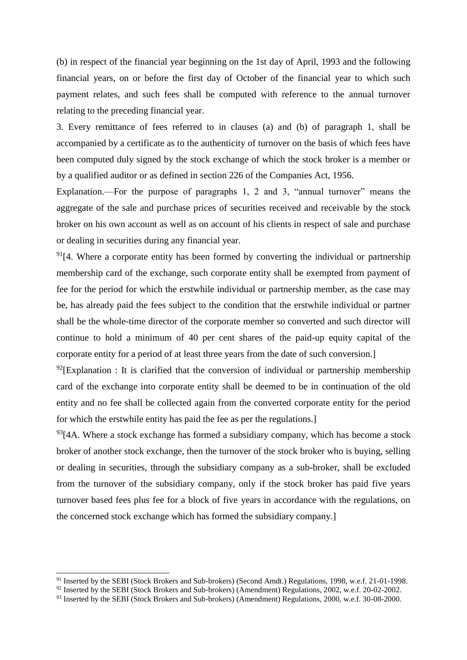(b) in respect of the financial year beginning on the 1st day of April, 1993 and the following financial years, on or before the first day of October of the financial year to which such payment relates, and such fees shall be computed with reference to the annual turnover relating to the preceding financial year.

3. Every remittance of fees referred to in clauses (a) and (b) of paragraph 1, shall be accompanied by a certificate as to the authenticity of turnover on the basis of which fees have been computed duly signed by the stock exchange of which the stock broker is a member or by a qualified auditor or as defined in section 226 of the Companies Act, 1956.

Explanation.—For the purpose of paragraphs 1, 2 and 3, "annual turnover" means the aggregate of the sale and purchase prices of securities received and receivable by the stock broker on his own account as well as on account of his clients in respect of sale and purchase or dealing in securities during any financial year.

 $91[4$ . Where a corporate entity has been formed by converting the individual or partnership membership card of the exchange, such corporate entity shall be exempted from payment of fee for the period for which the erstwhile individual or partnership member, as the case may be, has already paid the fees subject to the condition that the erstwhile individual or partner shall be the whole-time director of the corporate member so converted and such director will continue to hold a minimum of 40 per cent shares of the paid-up equity capital of the corporate entity for a period of at least three years from the date of such conversion.]

 $^{92}$ [Explanation : It is clarified that the conversion of individual or partnership membership card of the exchange into corporate entity shall be deemed to be in continuation of the old entity and no fee shall be collected again from the converted corporate entity for the period for which the erstwhile entity has paid the fee as per the regulations.]

 $93$ [4A. Where a stock exchange has formed a subsidiary company, which has become a stock broker of another stock exchange, then the turnover of the stock broker who is buying, selling or dealing in securities, through the subsidiary company as a sub-broker, shall be excluded from the turnover of the subsidiary company, only if the stock broker has paid five years turnover based fees plus fee for a block of five years in accordance with the regulations, on the concerned stock exchange which has formed the subsidiary company.]

 $\overline{a}$ 

<sup>&</sup>lt;sup>91</sup> Inserted by the SEBI (Stock Brokers and Sub-brokers) (Second Amdt.) Regulations, 1998, w.e.f. 21-01-1998.

<sup>&</sup>lt;sup>92</sup> Inserted by the SEBI (Stock Brokers and Sub-brokers) (Amendment) Regulations, 2002, w.e.f. 20-02-2002.

<sup>93</sup> Inserted by the SEBI (Stock Brokers and Sub-brokers) (Amendment) Regulations, 2000, w.e.f. 30-08-2000.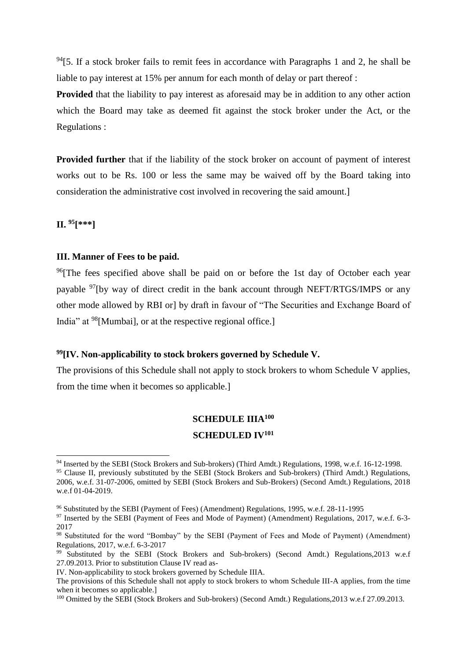$94$ [5. If a stock broker fails to remit fees in accordance with Paragraphs 1 and 2, he shall be liable to pay interest at 15% per annum for each month of delay or part thereof :

**Provided** that the liability to pay interest as aforesaid may be in addition to any other action which the Board may take as deemed fit against the stock broker under the Act, or the Regulations :

**Provided further** that if the liability of the stock broker on account of payment of interest works out to be Rs. 100 or less the same may be waived off by the Board taking into consideration the administrative cost involved in recovering the said amount.]

**II. <sup>95</sup>[\*\*\*]**

 $\overline{a}$ 

### **III. Manner of Fees to be paid.**

<sup>96</sup>[The fees specified above shall be paid on or before the 1st day of October each year payable <sup>97</sup>[by way of direct credit in the bank account through NEFT/RTGS/IMPS or any other mode allowed by RBI or] by draft in favour of "The Securities and Exchange Board of India" at <sup>98</sup>[Mumbai], or at the respective regional office.]

#### **<sup>99</sup>[IV. Non-applicability to stock brokers governed by Schedule V.**

The provisions of this Schedule shall not apply to stock brokers to whom Schedule V applies, from the time when it becomes so applicable.]

### **SCHEDULE IIIA<sup>100</sup>**

#### **SCHEDULED IV<sup>101</sup>**

<sup>&</sup>lt;sup>94</sup> Inserted by the SEBI (Stock Brokers and Sub-brokers) (Third Amdt.) Regulations, 1998, w.e.f. 16-12-1998. <sup>95</sup> Clause II, previously substituted by the SEBI (Stock Brokers and Sub-brokers) (Third Amdt.) Regulations, 2006, w.e.f. 31-07-2006, omitted by SEBI (Stock Brokers and Sub-Brokers) (Second Amdt.) Regulations, 2018 w.e.f 01-04-2019.

<sup>96</sup> Substituted by the SEBI (Payment of Fees) (Amendment) Regulations, 1995, w.e.f. 28-11-1995

<sup>97</sup> Inserted by the SEBI (Payment of Fees and Mode of Payment) (Amendment) Regulations, 2017, w.e.f. 6-3- 2017

<sup>&</sup>lt;sup>98</sup> Substituted for the word "Bombay" by the SEBI (Payment of Fees and Mode of Payment) (Amendment) Regulations, 2017, w.e.f. 6-3-2017

<sup>99</sup> Substituted by the SEBI (Stock Brokers and Sub-brokers) (Second Amdt.) Regulations,2013 w.e.f 27.09.2013. Prior to substitution Clause IV read as-

IV. Non-applicability to stock brokers governed by Schedule IIIA.

The provisions of this Schedule shall not apply to stock brokers to whom Schedule III-A applies, from the time when it becomes so applicable.

<sup>&</sup>lt;sup>100</sup> Omitted by the SEBI (Stock Brokers and Sub-brokers) (Second Amdt.) Regulations, 2013 w.e.f 27.09.2013.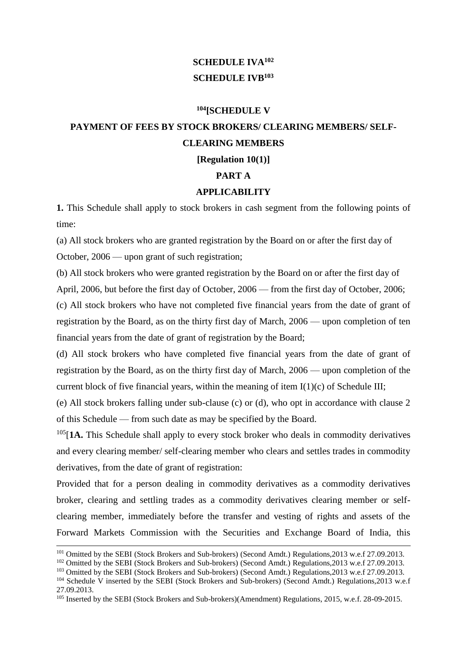## **SCHEDULE IVA<sup>102</sup> SCHEDULE IVB<sup>103</sup>**

## **<sup>104</sup>[SCHEDULE V**

# **PAYMENT OF FEES BY STOCK BROKERS/ CLEARING MEMBERS/ SELF-CLEARING MEMBERS**

**[Regulation 10(1)]**

**PART A**

### **APPLICABILITY**

**1.** This Schedule shall apply to stock brokers in cash segment from the following points of time:

(a) All stock brokers who are granted registration by the Board on or after the first day of October, 2006 — upon grant of such registration;

(b) All stock brokers who were granted registration by the Board on or after the first day of April, 2006, but before the first day of October, 2006 — from the first day of October, 2006;

(c) All stock brokers who have not completed five financial years from the date of grant of registration by the Board, as on the thirty first day of March, 2006 — upon completion of ten financial years from the date of grant of registration by the Board;

(d) All stock brokers who have completed five financial years from the date of grant of registration by the Board, as on the thirty first day of March, 2006 — upon completion of the current block of five financial years, within the meaning of item  $I(1)(c)$  of Schedule III;

(e) All stock brokers falling under sub-clause (c) or (d), who opt in accordance with clause 2 of this Schedule — from such date as may be specified by the Board.

<sup>105</sup>[**1A.** This Schedule shall apply to every stock broker who deals in commodity derivatives and every clearing member/ self-clearing member who clears and settles trades in commodity derivatives, from the date of grant of registration:

Provided that for a person dealing in commodity derivatives as a commodity derivatives broker, clearing and settling trades as a commodity derivatives clearing member or selfclearing member, immediately before the transfer and vesting of rights and assets of the Forward Markets Commission with the Securities and Exchange Board of India, this

1

<sup>&</sup>lt;sup>101</sup> Omitted by the SEBI (Stock Brokers and Sub-brokers) (Second Amdt.) Regulations, 2013 w.e.f 27.09.2013.

<sup>&</sup>lt;sup>102</sup> Omitted by the SEBI (Stock Brokers and Sub-brokers) (Second Amdt.) Regulations, 2013 w.e.f 27.09.2013.

<sup>&</sup>lt;sup>103</sup> Omitted by the SEBI (Stock Brokers and Sub-brokers) (Second Amdt.) Regulations, 2013 w.e.f 27.09.2013.

<sup>&</sup>lt;sup>104</sup> Schedule V inserted by the SEBI (Stock Brokers and Sub-brokers) (Second Amdt.) Regulations,2013 w.e.f 27.09.2013.

<sup>&</sup>lt;sup>105</sup> Inserted by the SEBI (Stock Brokers and Sub-brokers)(Amendment) Regulations, 2015, w.e.f. 28-09-2015.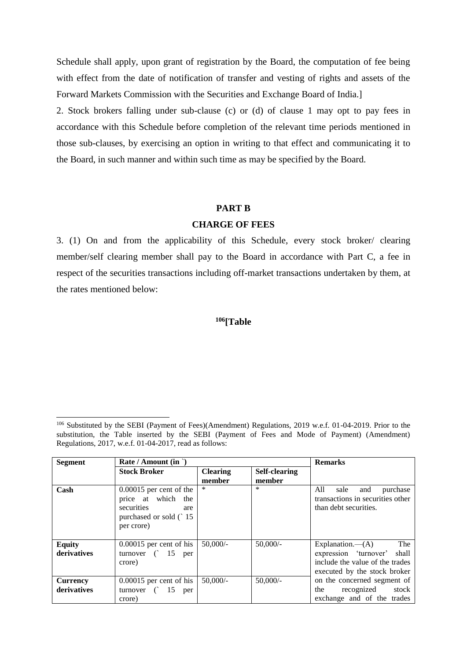Schedule shall apply, upon grant of registration by the Board, the computation of fee being with effect from the date of notification of transfer and vesting of rights and assets of the Forward Markets Commission with the Securities and Exchange Board of India.]

2. Stock brokers falling under sub-clause (c) or (d) of clause 1 may opt to pay fees in accordance with this Schedule before completion of the relevant time periods mentioned in those sub-clauses, by exercising an option in writing to that effect and communicating it to the Board, in such manner and within such time as may be specified by the Board.

### **PART B**

### **CHARGE OF FEES**

3. (1) On and from the applicability of this Schedule, every stock broker/ clearing member/self clearing member shall pay to the Board in accordance with Part C, a fee in respect of the securities transactions including off-market transactions undertaken by them, at the rates mentioned below:

## **<sup>106</sup>[Table**

-

| <b>Segment</b>               | Rate / Amount (in `)                                                                                            | <b>Remarks</b>            |                                |                                                                                                                              |
|------------------------------|-----------------------------------------------------------------------------------------------------------------|---------------------------|--------------------------------|------------------------------------------------------------------------------------------------------------------------------|
|                              | <b>Stock Broker</b>                                                                                             | <b>Clearing</b><br>member | <b>Self-clearing</b><br>member |                                                                                                                              |
| Cash                         | $0.00015$ per cent of the<br>price at which<br>the<br>securities<br>are<br>purchased or sold (`15<br>per crore) | *                         | $\ast$                         | All<br>purchase<br>sale<br>and<br>transactions in securities other<br>than debt securities.                                  |
| <b>Equity</b><br>derivatives | $0.00015$ per cent of his<br>turnover $($ 15 per<br>crore)                                                      | 50,000/                   | $50,000/-$                     | The<br>Explanation.— $(A)$<br>expression 'turnover' shall<br>include the value of the trades<br>executed by the stock broker |
| Currency<br>derivatives      | $0.00015$ per cent of his<br>turnover $($ 15 per<br>crore)                                                      | 50,000/                   | $50,000/-$                     | on the concerned segment of<br>recognized stock<br>the<br>exchange and of the trades                                         |

<sup>106</sup> Substituted by the SEBI (Payment of Fees)(Amendment) Regulations, 2019 w.e.f. 01-04-2019. Prior to the substitution, the Table inserted by the SEBI (Payment of Fees and Mode of Payment) (Amendment) Regulations, 2017, w.e.f. 01-04-2017, read as follows: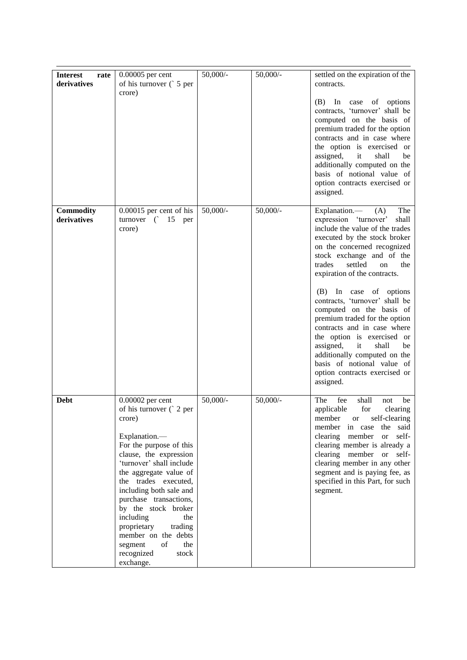| <b>Interest</b><br>rate<br>derivatives | 0.00005 per cent<br>of his turnover (5 per<br>crore)                                                                                                                                                                                                                                                                                                                                                                     | $50,000/$ - | $50,000/$ - | settled on the expiration of the<br>contracts.<br>In<br>(B)<br>case<br>of options<br>contracts, 'turnover' shall be<br>computed on the basis of<br>premium traded for the option<br>contracts and in case where<br>the option is exercised or<br>assigned,<br>it<br>shall<br>be<br>additionally computed on the<br>basis of notional value of<br>option contracts exercised or<br>assigned.                                                                                                                                                                                                        |
|----------------------------------------|--------------------------------------------------------------------------------------------------------------------------------------------------------------------------------------------------------------------------------------------------------------------------------------------------------------------------------------------------------------------------------------------------------------------------|-------------|-------------|----------------------------------------------------------------------------------------------------------------------------------------------------------------------------------------------------------------------------------------------------------------------------------------------------------------------------------------------------------------------------------------------------------------------------------------------------------------------------------------------------------------------------------------------------------------------------------------------------|
| Commodity<br>derivatives               | $0.00015$ per cent of his<br>turnover $($ 15 per<br>crore)                                                                                                                                                                                                                                                                                                                                                               | $50,000/$ - | $50,000/$ - | Explanation.—<br>The<br>(A)<br>expression 'turnover'<br>shall<br>include the value of the trades<br>executed by the stock broker<br>on the concerned recognized<br>stock exchange and of the<br>trades<br>settled<br>the<br>on<br>expiration of the contracts.<br>(B) In case of options<br>contracts, 'turnover' shall be<br>computed on the basis of<br>premium traded for the option<br>contracts and in case where<br>the option is exercised or<br>assigned,<br>shall<br>it<br>be<br>additionally computed on the<br>basis of notional value of<br>option contracts exercised or<br>assigned. |
| Debt                                   | 0.00002 per cent<br>of his turnover $($ 2 per<br>crore)<br>Explanation.-<br>For the purpose of this<br>clause, the expression<br>'turnover' shall include<br>the aggregate value of<br>the trades executed,<br>including both sale and<br>purchase transactions,<br>by the stock broker<br>including<br>the<br>proprietary<br>trading<br>member on the debts<br>of<br>the<br>segment<br>recognized<br>stock<br>exchange. | $50,000/-$  | $50,000/$ - | The<br>fee<br>shall<br>not<br>be<br>applicable<br>for<br>clearing<br>member<br>self-clearing<br><b>or</b><br>said<br>the<br>member<br>in case<br>self-<br>clearing<br>member<br><b>or</b><br>clearing member is already a<br>clearing member<br>self-<br><sub>or</sub><br>clearing member in any other<br>segment and is paying fee, as<br>specified in this Part, for such<br>segment.                                                                                                                                                                                                            |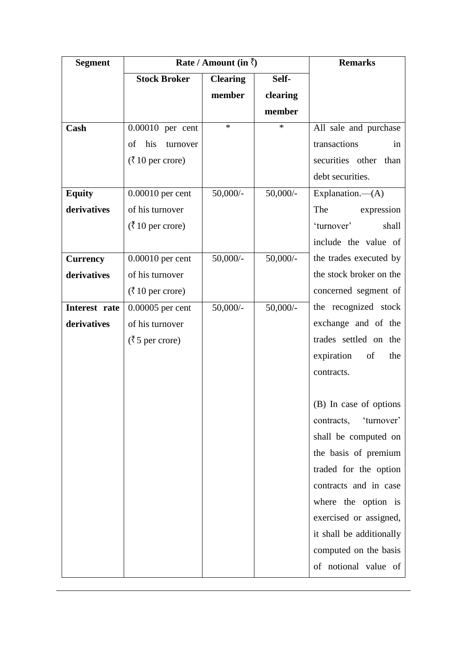| <b>Segment</b>  | Rate / Amount (in $\bar{\zeta}$ )    |                 | <b>Remarks</b> |                          |
|-----------------|--------------------------------------|-----------------|----------------|--------------------------|
|                 | <b>Stock Broker</b>                  | <b>Clearing</b> | Self-          |                          |
|                 |                                      | member          | clearing       |                          |
|                 |                                      |                 | member         |                          |
| Cash            | 0.00010 per cent                     | $\ast$          | $\ast$         | All sale and purchase    |
|                 | of<br>his<br>turnover                |                 |                | transactions<br>in       |
|                 | $(3 \t10 \text{ per crore})$         |                 |                | securities other than    |
|                 |                                      |                 |                | debt securities.         |
| <b>Equity</b>   | $0.00010$ per cent                   | $50,000/$ -     | $50,000/$ -    | Explanation. $-(A)$      |
| derivatives     | of his turnover                      |                 |                | The<br>expression        |
|                 | $(\bar{\zeta} 10 \text{ per crore})$ |                 |                | 'turnover'<br>shall      |
|                 |                                      |                 |                | include the value of     |
| <b>Currency</b> | $0.00010$ per cent                   | $50,000/$ -     | $50,000/-$     | the trades executed by   |
| derivatives     | of his turnover                      |                 |                | the stock broker on the  |
|                 | $(3 \t10 \text{ per crore})$         |                 |                | concerned segment of     |
| Interest rate   | $0.00005$ per cent                   | $50,000/$ -     | $50,000/$ -    | the recognized stock     |
| derivatives     | of his turnover                      |                 |                | exchange and of the      |
|                 | $(35 \text{ per crore})$             |                 |                | trades settled on the    |
|                 |                                      |                 |                | expiration<br>of<br>the  |
|                 |                                      |                 |                | contracts.               |
|                 |                                      |                 |                |                          |
|                 |                                      |                 |                | (B) In case of options   |
|                 |                                      |                 |                | 'turnover'<br>contracts, |
|                 |                                      |                 |                | shall be computed on     |
|                 |                                      |                 |                | the basis of premium     |
|                 |                                      |                 |                | traded for the option    |
|                 |                                      |                 |                | contracts and in case    |
|                 |                                      |                 |                | where the option is      |
|                 |                                      |                 |                | exercised or assigned,   |
|                 |                                      |                 |                | it shall be additionally |
|                 |                                      |                 |                | computed on the basis    |
|                 |                                      |                 |                | of notional value of     |

 $\overline{a}$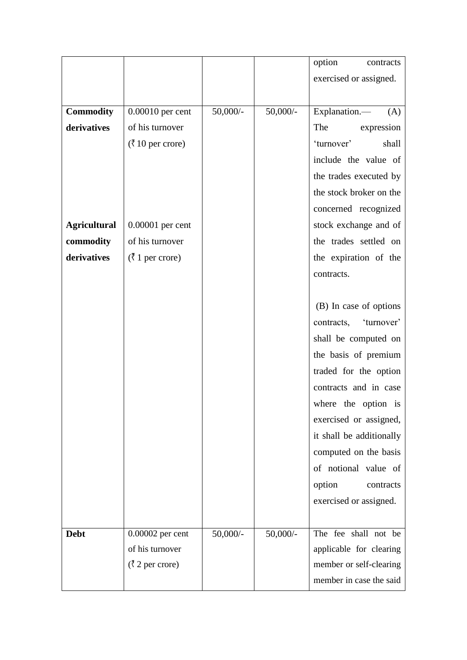|                     |                                          |             |             | option<br>contracts      |
|---------------------|------------------------------------------|-------------|-------------|--------------------------|
|                     |                                          |             |             | exercised or assigned.   |
|                     |                                          |             |             |                          |
| <b>Commodity</b>    | $0.00010$ per cent                       | $50,000/$ - | $50,000/$ - | Explanation.-<br>(A)     |
| derivatives         | of his turnover                          |             |             | The<br>expression        |
|                     | $(3 \t10 \text{ per crore})$             |             |             | 'turnover'<br>shall      |
|                     |                                          |             |             | include the value of     |
|                     |                                          |             |             | the trades executed by   |
|                     |                                          |             |             | the stock broker on the  |
|                     |                                          |             |             | concerned recognized     |
| <b>Agricultural</b> | 0.00001 per cent                         |             |             | stock exchange and of    |
| commodity           | of his turnover                          |             |             | the trades settled on    |
| derivatives         | $(\bar{\zeta} 1$ per crore)              |             |             | the expiration of the    |
|                     |                                          |             |             | contracts.               |
|                     |                                          |             |             |                          |
|                     |                                          |             |             | (B) In case of options   |
|                     |                                          |             |             | contracts, 'turnover'    |
|                     |                                          |             |             | shall be computed on     |
|                     |                                          |             |             | the basis of premium     |
|                     |                                          |             |             | traded for the option    |
|                     |                                          |             |             | contracts and in case    |
|                     |                                          |             |             | where the option is      |
|                     |                                          |             |             | exercised or assigned,   |
|                     |                                          |             |             | it shall be additionally |
|                     |                                          |             |             | computed on the basis    |
|                     |                                          |             |             | of notional value of     |
|                     |                                          |             |             | option<br>contracts      |
|                     |                                          |             |             | exercised or assigned.   |
|                     |                                          |             |             |                          |
| <b>Debt</b>         | 0.00002 per cent                         | $50,000/$ - | $50,000/$ - | The fee shall not be     |
|                     | of his turnover                          |             |             | applicable for clearing  |
|                     | $(\overline{\zeta} 2 \text{ per crore})$ |             |             | member or self-clearing  |
|                     |                                          |             |             | member in case the said  |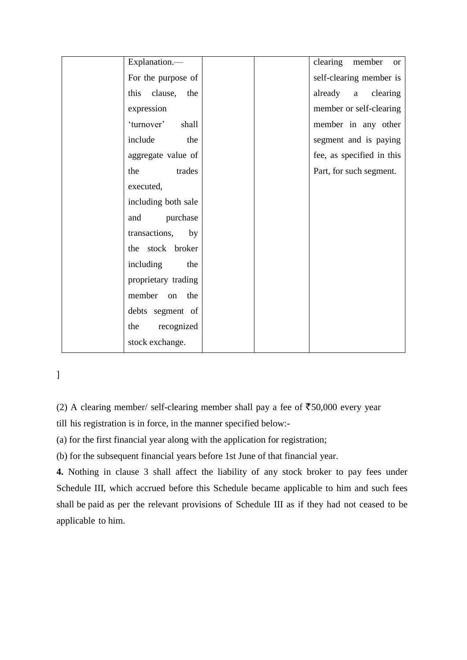| Explanation.-          |  | clearing member or        |
|------------------------|--|---------------------------|
| For the purpose of     |  | self-clearing member is   |
| this<br>clause,<br>the |  | already a<br>clearing     |
| expression             |  | member or self-clearing   |
| 'turnover'<br>shall    |  | member in any other       |
| include<br>the         |  | segment and is paying     |
| aggregate value of     |  | fee, as specified in this |
| trades<br>the          |  | Part, for such segment.   |
| executed,              |  |                           |
| including both sale    |  |                           |
| purchase<br>and        |  |                           |
| transactions,<br>by    |  |                           |
| the stock broker       |  |                           |
| including<br>the       |  |                           |
| proprietary trading    |  |                           |
| member on<br>the       |  |                           |
| debts segment of       |  |                           |
| recognized<br>the      |  |                           |
| stock exchange.        |  |                           |

]

(2) A clearing member/ self-clearing member shall pay a fee of  $\overline{5}50,000$  every year

till his registration is in force, in the manner specified below:-

(a) for the first financial year along with the application for registration;

(b) for the subsequent financial years before 1st June of that financial year.

**4.** Nothing in clause 3 shall affect the liability of any stock broker to pay fees under Schedule III, which accrued before this Schedule became applicable to him and such fees shall be paid as per the relevant provisions of Schedule III as if they had not ceased to be applicable to him.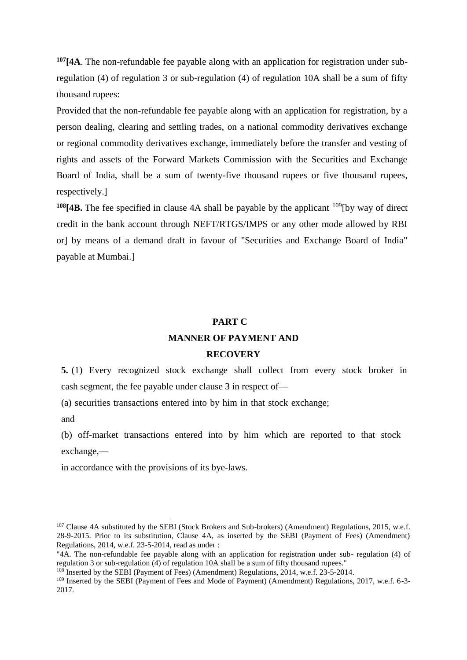**<sup>107</sup>[4A**. The non-refundable fee payable along with an application for registration under subregulation (4) of regulation 3 or sub-regulation (4) of regulation 10A shall be a sum of fifty thousand rupees:

Provided that the non-refundable fee payable along with an application for registration, by a person dealing, clearing and settling trades, on a national commodity derivatives exchange or regional commodity derivatives exchange, immediately before the transfer and vesting of rights and assets of the Forward Markets Commission with the Securities and Exchange Board of India, shall be a sum of twenty-five thousand rupees or five thousand rupees, respectively.]

**<sup>108</sup>[4B.** The fee specified in clause 4A shall be payable by the applicant <sup>109</sup>[by way of direct credit in the bank account through NEFT/RTGS/IMPS or any other mode allowed by RBI or] by means of a demand draft in favour of "Securities and Exchange Board of India" payable at Mumbai.]

## **PART C MANNER OF PAYMENT AND RECOVERY**

**5.** (1) Every recognized stock exchange shall collect from every stock broker in cash segment, the fee payable under clause 3 in respect of—

(a) securities transactions entered into by him in that stock exchange;

and

1

(b) off-market transactions entered into by him which are reported to that stock exchange,—

in accordance with the provisions of its bye-laws.

<sup>&</sup>lt;sup>107</sup> Clause 4A substituted by the SEBI (Stock Brokers and Sub-brokers) (Amendment) Regulations, 2015, w.e.f. 28-9-2015. Prior to its substitution, Clause 4A, as inserted by the SEBI (Payment of Fees) (Amendment) Regulations, 2014, w.e.f. 23-5-2014, read as under :

<sup>&</sup>quot;4A. The non-refundable fee payable along with an application for registration under sub- regulation (4) of regulation 3 or sub-regulation (4) of regulation 10A shall be a sum of fifty thousand rupees."

<sup>108</sup> Inserted by the SEBI (Payment of Fees) (Amendment) Regulations, 2014, w.e.f. 23-5-2014.

<sup>&</sup>lt;sup>109</sup> Inserted by the SEBI (Payment of Fees and Mode of Payment) (Amendment) Regulations, 2017, w.e.f. 6-3-2017.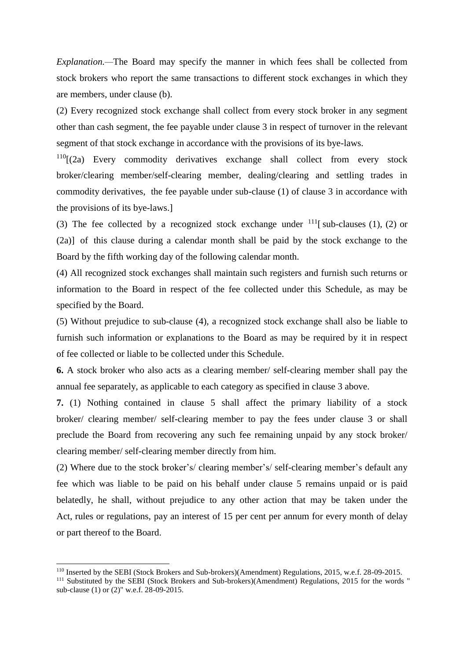*Explanation.—*The Board may specify the manner in which fees shall be collected from stock brokers who report the same transactions to different stock exchanges in which they are members, under clause (b).

(2) Every recognized stock exchange shall collect from every stock broker in any segment other than cash segment, the fee payable under clause 3 in respect of turnover in the relevant segment of that stock exchange in accordance with the provisions of its bye-laws.

 $110$ [(2a) Every commodity derivatives exchange shall collect from every stock broker/clearing member/self-clearing member, dealing/clearing and settling trades in commodity derivatives, the fee payable under sub-clause (1) of clause 3 in accordance with the provisions of its bye-laws.]

(3) The fee collected by a recognized stock exchange under  $^{111}$ [sub-clauses (1), (2) or (2a)] of this clause during a calendar month shall be paid by the stock exchange to the Board by the fifth working day of the following calendar month.

(4) All recognized stock exchanges shall maintain such registers and furnish such returns or information to the Board in respect of the fee collected under this Schedule, as may be specified by the Board.

(5) Without prejudice to sub-clause (4), a recognized stock exchange shall also be liable to furnish such information or explanations to the Board as may be required by it in respect of fee collected or liable to be collected under this Schedule.

**6.** A stock broker who also acts as a clearing member/ self-clearing member shall pay the annual fee separately, as applicable to each category as specified in clause 3 above.

**7.** (1) Nothing contained in clause 5 shall affect the primary liability of a stock broker/ clearing member/ self-clearing member to pay the fees under clause 3 or shall preclude the Board from recovering any such fee remaining unpaid by any stock broker/ clearing member/ self-clearing member directly from him.

(2) Where due to the stock broker's/ clearing member's/ self-clearing member's default any fee which was liable to be paid on his behalf under clause 5 remains unpaid or is paid belatedly, he shall, without prejudice to any other action that may be taken under the Act, rules or regulations, pay an interest of 15 per cent per annum for every month of delay or part thereof to the Board.

-

<sup>110</sup> Inserted by the SEBI (Stock Brokers and Sub-brokers)(Amendment) Regulations, 2015, w.e.f. 28-09-2015.

<sup>&</sup>lt;sup>111</sup> Substituted by the SEBI (Stock Brokers and Sub-brokers)(Amendment) Regulations, 2015 for the words " sub-clause (1) or (2)" w.e.f. 28-09-2015.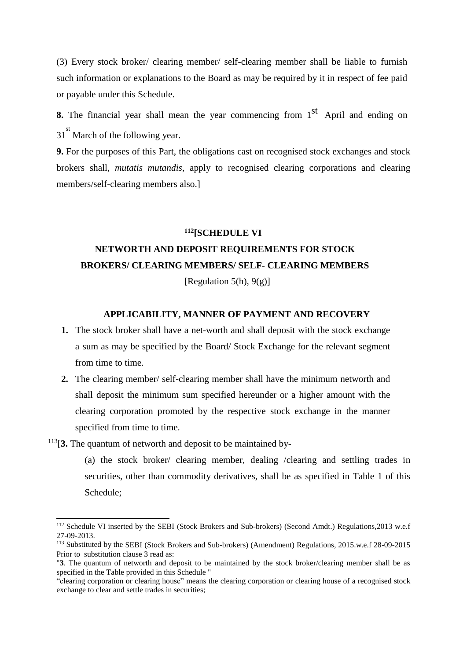(3) Every stock broker/ clearing member/ self-clearing member shall be liable to furnish such information or explanations to the Board as may be required by it in respect of fee paid or payable under this Schedule.

**8.** The financial year shall mean the year commencing from 1<sup>st</sup> April and ending on 31<sup>st</sup> March of the following year.

**9.** For the purposes of this Part, the obligations cast on recognised stock exchanges and stock brokers shall, *mutatis mutandis*, apply to recognised clearing corporations and clearing members/self-clearing members also.]

### **<sup>112</sup>[SCHEDULE VI**

# **NETWORTH AND DEPOSIT REQUIREMENTS FOR STOCK BROKERS/ CLEARING MEMBERS/ SELF- CLEARING MEMBERS**

[Regulation 5(h),  $9(g)$ ]

## **APPLICABILITY, MANNER OF PAYMENT AND RECOVERY**

- **1.** The stock broker shall have a net-worth and shall deposit with the stock exchange a sum as may be specified by the Board/ Stock Exchange for the relevant segment from time to time.
- **2.** The clearing member/ self-clearing member shall have the minimum networth and shall deposit the minimum sum specified hereunder or a higher amount with the clearing corporation promoted by the respective stock exchange in the manner specified from time to time.

<sup>113</sup>[**3.** The quantum of networth and deposit to be maintained by-

-

(a) the stock broker/ clearing member, dealing /clearing and settling trades in securities, other than commodity derivatives, shall be as specified in Table 1 of this Schedule;

<sup>112</sup> Schedule VI inserted by the SEBI (Stock Brokers and Sub-brokers) (Second Amdt.) Regulations,2013 w.e.f 27-09-2013.

<sup>113</sup> Substituted by the SEBI (Stock Brokers and Sub-brokers) (Amendment) Regulations, 2015.w.e.f 28-09-2015 Prior to substitution clause 3 read as:

<sup>&</sup>quot;**3**. The quantum of networth and deposit to be maintained by the stock broker/clearing member shall be as specified in the Table provided in this Schedule "

<sup>&</sup>quot;clearing corporation or clearing house" means the clearing corporation or clearing house of a recognised stock exchange to clear and settle trades in securities;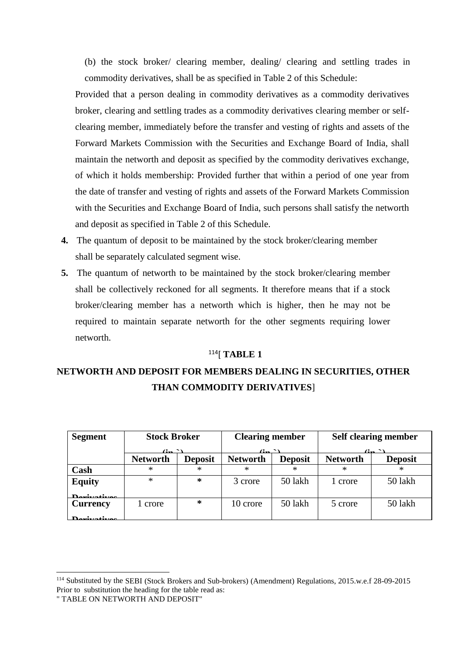(b) the stock broker/ clearing member, dealing/ clearing and settling trades in commodity derivatives, shall be as specified in Table 2 of this Schedule:

Provided that a person dealing in commodity derivatives as a commodity derivatives broker, clearing and settling trades as a commodity derivatives clearing member or selfclearing member, immediately before the transfer and vesting of rights and assets of the Forward Markets Commission with the Securities and Exchange Board of India, shall maintain the networth and deposit as specified by the commodity derivatives exchange, of which it holds membership: Provided further that within a period of one year from the date of transfer and vesting of rights and assets of the Forward Markets Commission with the Securities and Exchange Board of India, such persons shall satisfy the networth and deposit as specified in Table 2 of this Schedule.

- **4.** The quantum of deposit to be maintained by the stock broker/clearing member shall be separately calculated segment wise.
- **5.** The quantum of networth to be maintained by the stock broker/clearing member shall be collectively reckoned for all segments. It therefore means that if a stock broker/clearing member has a networth which is higher, then he may not be required to maintain separate networth for the other segments requiring lower networth.

## <sup>114</sup>[ **TABLE 1**

## **NETWORTH AND DEPOSIT FOR MEMBERS DEALING IN SECURITIES, OTHER THAN COMMODITY DERIVATIVES**]

| <b>Segment</b>     | <b>Stock Broker</b>       |                | <b>Clearing member</b>    |                                   | <b>Self clearing member</b> |                           |
|--------------------|---------------------------|----------------|---------------------------|-----------------------------------|-----------------------------|---------------------------|
|                    | $\mathbf{G}_{\mathbf{m}}$ |                | $\mathbf{G}_{\mathbf{m}}$ |                                   |                             | $\mathbf{G}_{\mathbf{m}}$ |
|                    | <b>Networth</b>           | <b>Deposit</b> | <b>Networth</b>           | <b>Deposit</b><br><b>Networth</b> |                             | <b>Deposit</b>            |
| Cash               | *                         | *              |                           | ∗                                 |                             |                           |
| <b>Equity</b>      | $\ast$                    | $\ast$         | 3 crore                   | 50 lakh                           | 1 crore                     | 50 lakh                   |
| Dovivotivos        |                           |                |                           |                                   |                             |                           |
| <b>Currency</b>    | 1 crore                   | $\ast$         | 10 crore                  | 50 lakh                           | 5 crore                     | 50 lakh                   |
| <b>Desiretires</b> |                           |                |                           |                                   |                             |                           |

-

<sup>114</sup> Substituted by the SEBI (Stock Brokers and Sub-brokers) (Amendment) Regulations, 2015.w.e.f 28-09-2015 Prior to substitution the heading for the table read as:

<sup>&</sup>quot; TABLE ON NETWORTH AND DEPOSIT"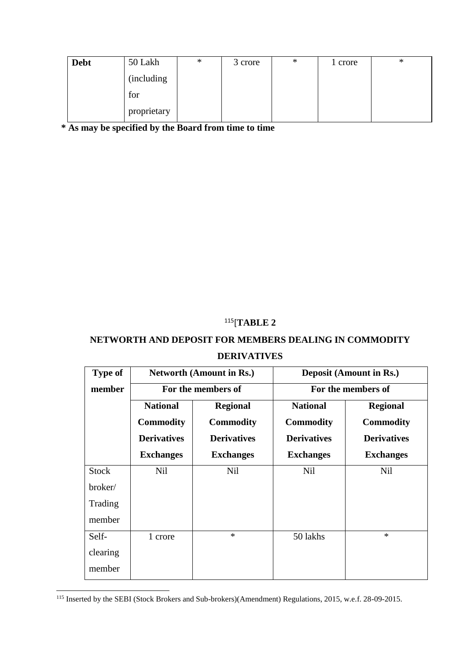| <b>Debt</b> | 50 Lakh     | ∗ | 3 crore | ∗ | 1 crore | ∗ |
|-------------|-------------|---|---------|---|---------|---|
|             | (including) |   |         |   |         |   |
|             | for         |   |         |   |         |   |
|             | proprietary |   |         |   |         |   |

\* As may be specified by the Board from time to time

## <sup>115</sup>[**TABLE 2**

## **NETWORTH AND DEPOSIT FOR MEMBERS DEALING IN COMMODITY DERIVATIVES**

| <b>Type of</b>                               |                                                                               | <b>Networth (Amount in Rs.)</b>                                               | <b>Deposit (Amount in Rs.)</b><br>For the members of                          |                                                                               |  |
|----------------------------------------------|-------------------------------------------------------------------------------|-------------------------------------------------------------------------------|-------------------------------------------------------------------------------|-------------------------------------------------------------------------------|--|
| member                                       |                                                                               | For the members of                                                            |                                                                               |                                                                               |  |
|                                              | <b>National</b><br><b>Commodity</b><br><b>Derivatives</b><br><b>Exchanges</b> | <b>Regional</b><br><b>Commodity</b><br><b>Derivatives</b><br><b>Exchanges</b> | <b>National</b><br><b>Commodity</b><br><b>Derivatives</b><br><b>Exchanges</b> | <b>Regional</b><br><b>Commodity</b><br><b>Derivatives</b><br><b>Exchanges</b> |  |
| <b>Stock</b><br>broker/<br>Trading<br>member | Nil                                                                           | <b>Nil</b>                                                                    | Nil                                                                           | Nil                                                                           |  |
| Self-<br>clearing<br>member                  | 1 crore                                                                       | $\ast$                                                                        | 50 lakhs                                                                      | $\ast$                                                                        |  |

<sup>115</sup> Inserted by the SEBI (Stock Brokers and Sub-brokers)(Amendment) Regulations, 2015, w.e.f. 28-09-2015.

 $\overline{a}$